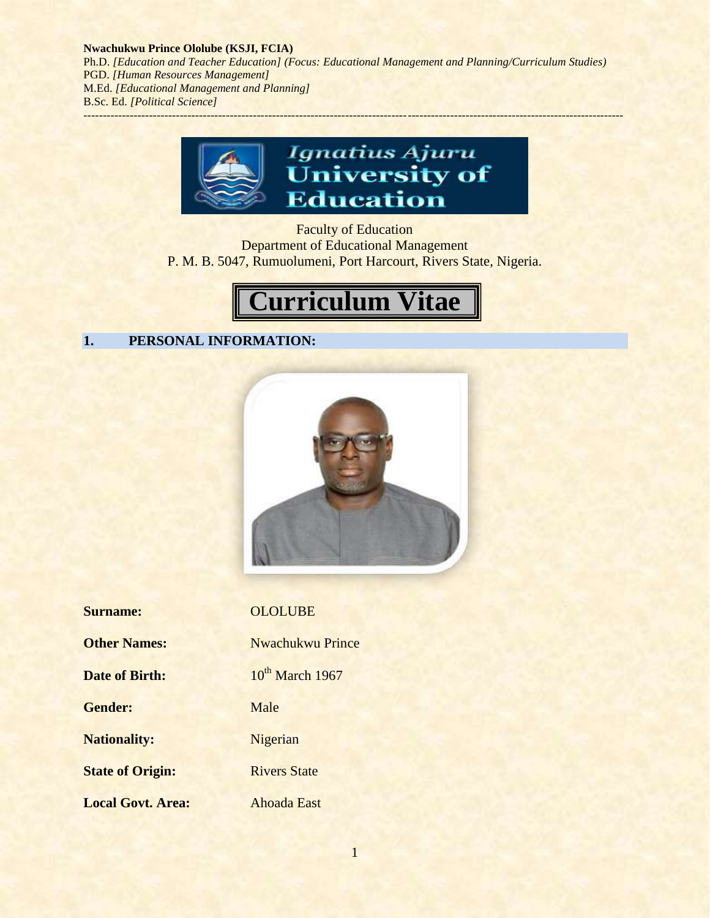

Faculty of Education Department of Educational Management P. M. B. 5047, Rumuolumeni, Port Harcourt, Rivers State, Nigeria.



# **1. PERSONAL INFORMATION:**



| <b>Surname:</b>          | <b>OLOLUBE</b>              |
|--------------------------|-----------------------------|
| <b>Other Names:</b>      | <b>Nwachukwu Prince</b>     |
| <b>Date of Birth:</b>    | 10 <sup>th</sup> March 1967 |
| <b>Gender:</b>           | Male                        |
| <b>Nationality:</b>      | Nigerian                    |
| <b>State of Origin:</b>  | <b>Rivers State</b>         |
| <b>Local Govt. Area:</b> | <b>Ahoada East</b>          |

1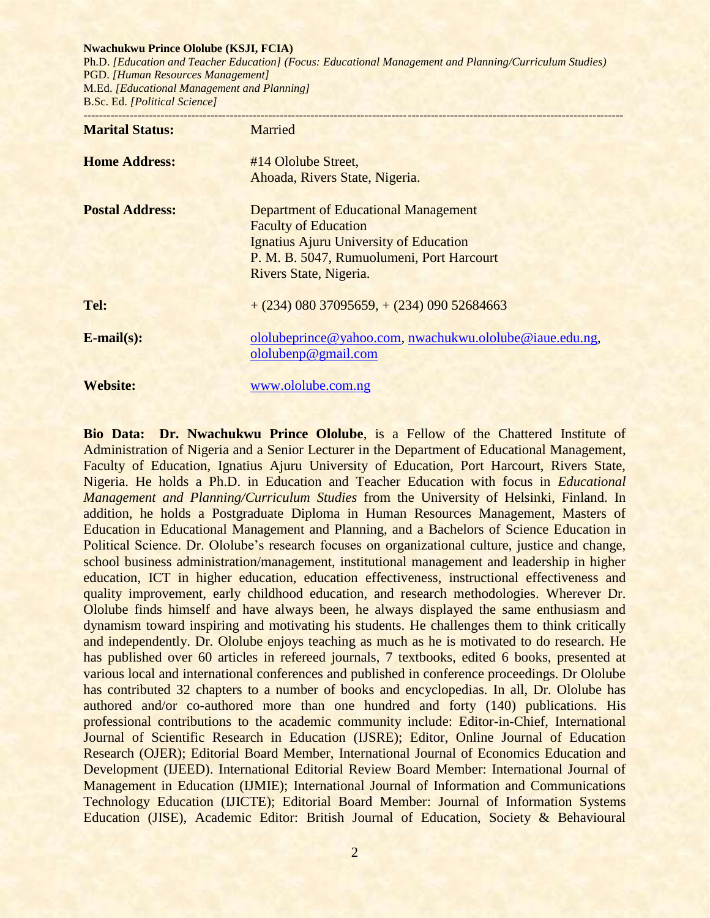#### **Nwachukwu Prince Ololube (KSJI, FCIA)**

Ph.D. *[Education and Teacher Education] (Focus: Educational Management and Planning/Curriculum Studies)* PGD. *[Human Resources Management]* M.Ed. *[Educational Management and Planning]* B.Sc. Ed. *[Political Science]*

| <b>Marital Status:</b> | Married                                                                                                                                                                                     |
|------------------------|---------------------------------------------------------------------------------------------------------------------------------------------------------------------------------------------|
| <b>Home Address:</b>   | #14 Ololube Street,<br>Ahoada, Rivers State, Nigeria.                                                                                                                                       |
| <b>Postal Address:</b> | <b>Department of Educational Management</b><br><b>Faculty of Education</b><br>Ignatius Ajuru University of Education<br>P. M. B. 5047, Rumuolumeni, Port Harcourt<br>Rivers State, Nigeria. |
| Tel:                   | $+(234)$ 080 37095659, $+(234)$ 090 52684663                                                                                                                                                |
| $E$ -mail $(s)$ :      | ololubeprince@yahoo.com, nwachukwu.ololube@iaue.edu.ng,<br>ololubenp@gmail.com                                                                                                              |
| <b>Website:</b>        | www.ololube.com.ng                                                                                                                                                                          |

**Bio Data: Dr. Nwachukwu Prince Ololube**, is a Fellow of the Chattered Institute of Administration of Nigeria and a Senior Lecturer in the Department of Educational Management, Faculty of Education, Ignatius Ajuru University of Education, Port Harcourt, Rivers State, Nigeria. He holds a Ph.D. in Education and Teacher Education with focus in *Educational Management and Planning/Curriculum Studies* from the University of Helsinki, Finland. In addition, he holds a Postgraduate Diploma in Human Resources Management, Masters of Education in Educational Management and Planning, and a Bachelors of Science Education in Political Science. Dr. Ololube's research focuses on organizational culture, justice and change, school business administration/management, institutional management and leadership in higher education, ICT in higher education, education effectiveness, instructional effectiveness and quality improvement, early childhood education, and research methodologies. Wherever Dr. Ololube finds himself and have always been, he always displayed the same enthusiasm and dynamism toward inspiring and motivating his students. He challenges them to think critically and independently. Dr. Ololube enjoys teaching as much as he is motivated to do research. He has published over 60 articles in refereed journals, 7 textbooks, edited 6 books, presented at various local and international conferences and published in conference proceedings. Dr Ololube has contributed 32 chapters to a number of books and encyclopedias. In all, Dr. Ololube has authored and/or co-authored more than one hundred and forty (140) publications. His professional contributions to the academic community include: Editor-in-Chief, International Journal of Scientific Research in Education (IJSRE); Editor, Online Journal of Education Research (OJER); Editorial Board Member, International Journal of Economics Education and Development (IJEED). International Editorial Review Board Member: International Journal of Management in Education (IJMIE); International Journal of Information and Communications Technology Education (IJICTE); Editorial Board Member: Journal of Information Systems Education (JISE), Academic Editor: British Journal of Education, Society & Behavioural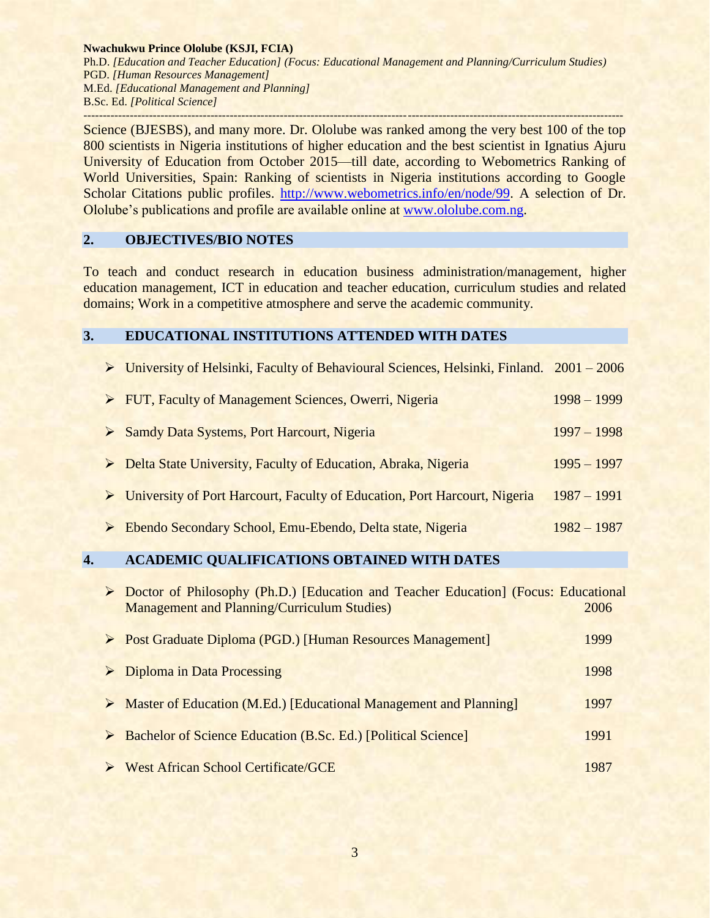Science (BJESBS), and many more. Dr. Ololube was ranked among the very best 100 of the top 800 scientists in Nigeria institutions of higher education and the best scientist in Ignatius Ajuru University of Education from October 2015—till date, according to Webometrics Ranking of World Universities, Spain: Ranking of scientists in Nigeria institutions according to Google Scholar Citations public profiles. [http://www.webometrics.info/en/node/99.](http://www.webometrics.info/en/node/99) A selection of Dr. Ololube's publications and profile are available online at [www.ololube.com.](http://www.ololube.com/)ng.

## **2. OBJECTIVES/BIO NOTES**

To teach and conduct research in education business administration/management, higher education management, ICT in education and teacher education, curriculum studies and related domains; Work in a competitive atmosphere and serve the academic community.

## **3. EDUCATIONAL INSTITUTIONS ATTENDED WITH DATES**

| > University of Helsinki, Faculty of Behavioural Sciences, Helsinki, Finland. 2001 - 2006  |               |
|--------------------------------------------------------------------------------------------|---------------|
| > FUT, Faculty of Management Sciences, Owerri, Nigeria                                     | $1998 - 1999$ |
| Samdy Data Systems, Port Harcourt, Nigeria                                                 | $1997 - 1998$ |
| Delta State University, Faculty of Education, Abraka, Nigeria                              | $1995 - 1997$ |
| $\triangleright$ University of Port Harcourt, Faculty of Education, Port Harcourt, Nigeria | $1987 - 1991$ |
| Ebendo Secondary School, Emu-Ebendo, Delta state, Nigeria<br>$\triangleright$              | $1982 - 1987$ |

# **4. ACADEMIC QUALIFICATIONS OBTAINED WITH DATES**

| ➤ | Doctor of Philosophy (Ph.D.) [Education and Teacher Education] (Focus: Educational<br><b>Management and Planning/Curriculum Studies)</b> | 2006 |
|---|------------------------------------------------------------------------------------------------------------------------------------------|------|
|   | ▶ Post Graduate Diploma (PGD.) [Human Resources Management]                                                                              | 1999 |
| ➤ | Diploma in Data Processing                                                                                                               | 1998 |
| ➤ | Master of Education (M.Ed.) [Educational Management and Planning]                                                                        | 1997 |
| ➤ | <b>Bachelor of Science Education (B.Sc. Ed.) [Political Science]</b>                                                                     | 1991 |
|   | <b>West African School Certificate/GCE</b>                                                                                               | 1987 |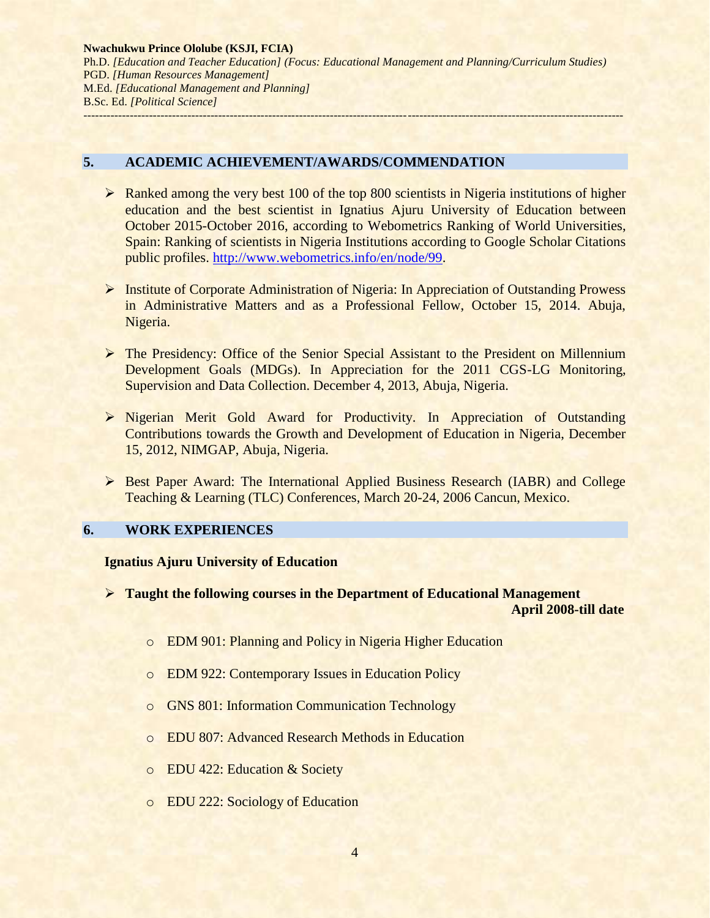## **5. ACADEMIC ACHIEVEMENT/AWARDS/COMMENDATION**

- $\triangleright$  Ranked among the very best 100 of the top 800 scientists in Nigeria institutions of higher education and the best scientist in Ignatius Ajuru University of Education between October 2015-October 2016, according to Webometrics Ranking of World Universities, Spain: Ranking of scientists in Nigeria Institutions according to Google Scholar Citations public profiles. [http://www.webometrics.info/en/node/99.](http://www.webometrics.info/en/node/99)
- Institute of Corporate Administration of Nigeria: In Appreciation of Outstanding Prowess in Administrative Matters and as a Professional Fellow, October 15, 2014. Abuja, Nigeria.
- The Presidency: Office of the Senior Special Assistant to the President on Millennium Development Goals (MDGs). In Appreciation for the 2011 CGS-LG Monitoring, Supervision and Data Collection. December 4, 2013, Abuja, Nigeria.
- Nigerian Merit Gold Award for Productivity. In Appreciation of Outstanding Contributions towards the Growth and Development of Education in Nigeria, December 15, 2012, NIMGAP, Abuja, Nigeria.
- Best Paper Award: The International Applied Business Research (IABR) and College Teaching & Learning (TLC) Conferences, March 20-24, 2006 Cancun, Mexico.

# **6. WORK EXPERIENCES**

## **Ignatius Ajuru University of Education**

- **Taught the following courses in the Department of Educational Management April 2008-till date**
	- o EDM 901: Planning and Policy in Nigeria Higher Education
	- o EDM 922: Contemporary Issues in Education Policy
	- o GNS 801: Information Communication Technology
	- o EDU 807: Advanced Research Methods in Education
	- o EDU 422: Education & Society
	- o EDU 222: Sociology of Education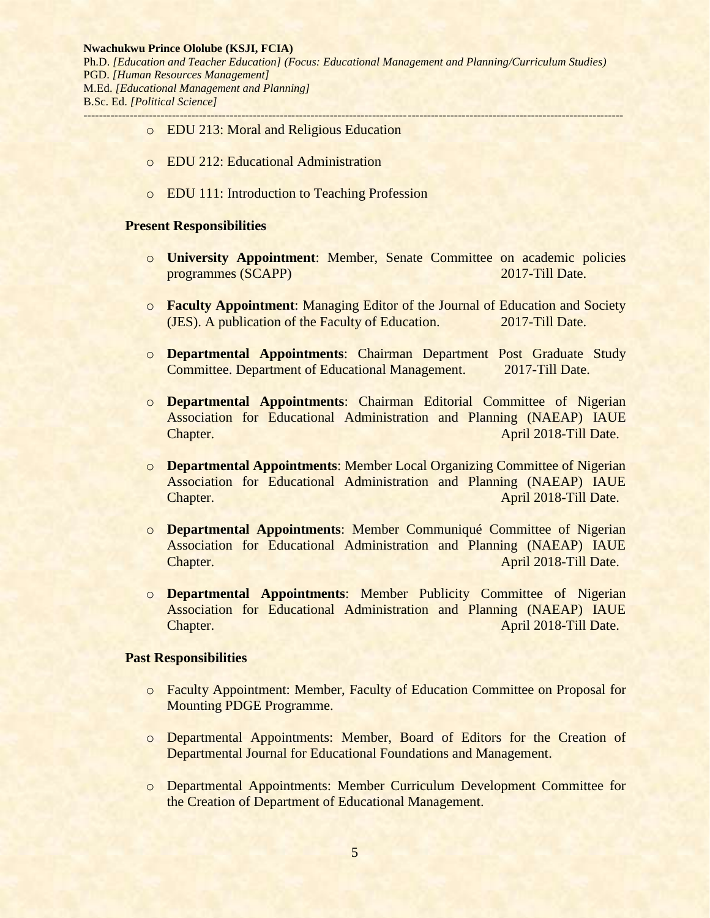- o EDU 213: Moral and Religious Education
- o EDU 212: Educational Administration
- o EDU 111: Introduction to Teaching Profession

#### **Present Responsibilities**

- o **University Appointment**: Member, Senate Committee on academic policies programmes (SCAPP) 2017-Till Date.
- o **Faculty Appointment**: Managing Editor of the Journal of Education and Society (JES). A publication of the Faculty of Education. 2017-Till Date.
- o **Departmental Appointments**: Chairman Department Post Graduate Study Committee. Department of Educational Management. 2017-Till Date.
- o **Departmental Appointments**: Chairman Editorial Committee of Nigerian Association for Educational Administration and Planning (NAEAP) IAUE Chapter. **Chapter. Chapter Chapter Chapter Chapter Chapter Chapter Chapter Chapter Chapter Chapter Chapter Chapter Chapter Chapter Chapter Chapter Chapter Chapter Chapter Chapter C**
- o **Departmental Appointments**: Member Local Organizing Committee of Nigerian Association for Educational Administration and Planning (NAEAP) IAUE Chapter. **Chapter. Chapter Chapter Chapter Chapter Chapter Chapter Chapter Chapter Chapter Chapter Chapter Chapter Chapter Chapter Chapter Chapter Chapter Chapter Chapter Chapter C**
- o **Departmental Appointments**: Member Communiqué Committee of Nigerian Association for Educational Administration and Planning (NAEAP) IAUE **Chapter.** April 2018-Till Date.
- o **Departmental Appointments**: Member Publicity Committee of Nigerian Association for Educational Administration and Planning (NAEAP) IAUE **Chapter.** April 2018-Till Date.

#### **Past Responsibilities**

- o Faculty Appointment: Member, Faculty of Education Committee on Proposal for Mounting PDGE Programme.
- o Departmental Appointments: Member, Board of Editors for the Creation of Departmental Journal for Educational Foundations and Management.
- o Departmental Appointments: Member Curriculum Development Committee for the Creation of Department of Educational Management.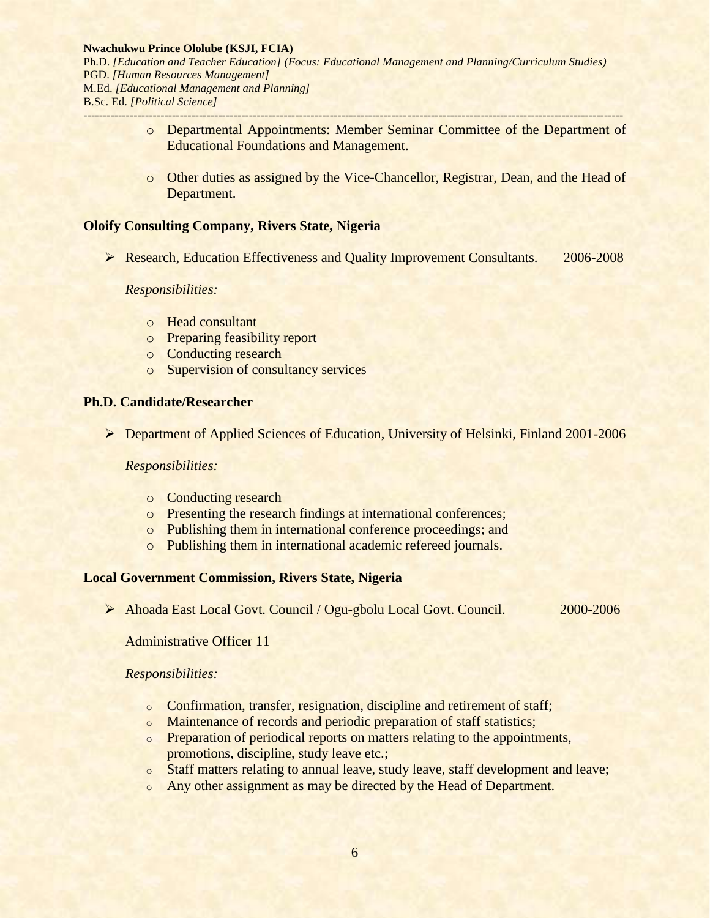- o Departmental Appointments: Member Seminar Committee of the Department of Educational Foundations and Management.
- o Other duties as assigned by the Vice-Chancellor, Registrar, Dean, and the Head of Department.

## **Oloify Consulting Company, Rivers State, Nigeria**

**Example 2006-2008** Research, Education Effectiveness and Quality Improvement Consultants. 2006-2008

## *Responsibilities:*

- o Head consultant
- o Preparing feasibility report
- o Conducting research
- o Supervision of consultancy services

## **Ph.D. Candidate/Researcher**

Department of Applied Sciences of Education, University of Helsinki, Finland 2001-2006

## *Responsibilities:*

- o Conducting research
- o Presenting the research findings at international conferences;
- o Publishing them in international conference proceedings; and
- o Publishing them in international academic refereed journals.

## **Local Government Commission, Rivers State, Nigeria**

Ahoada East Local Govt. Council / Ogu-gbolu Local Govt. Council. 2000-2006

Administrative Officer 11

## *Responsibilities:*

- o Confirmation, transfer, resignation, discipline and retirement of staff;
- o Maintenance of records and periodic preparation of staff statistics;
- o Preparation of periodical reports on matters relating to the appointments, promotions, discipline, study leave etc.;
- o Staff matters relating to annual leave, study leave, staff development and leave;
- o Any other assignment as may be directed by the Head of Department.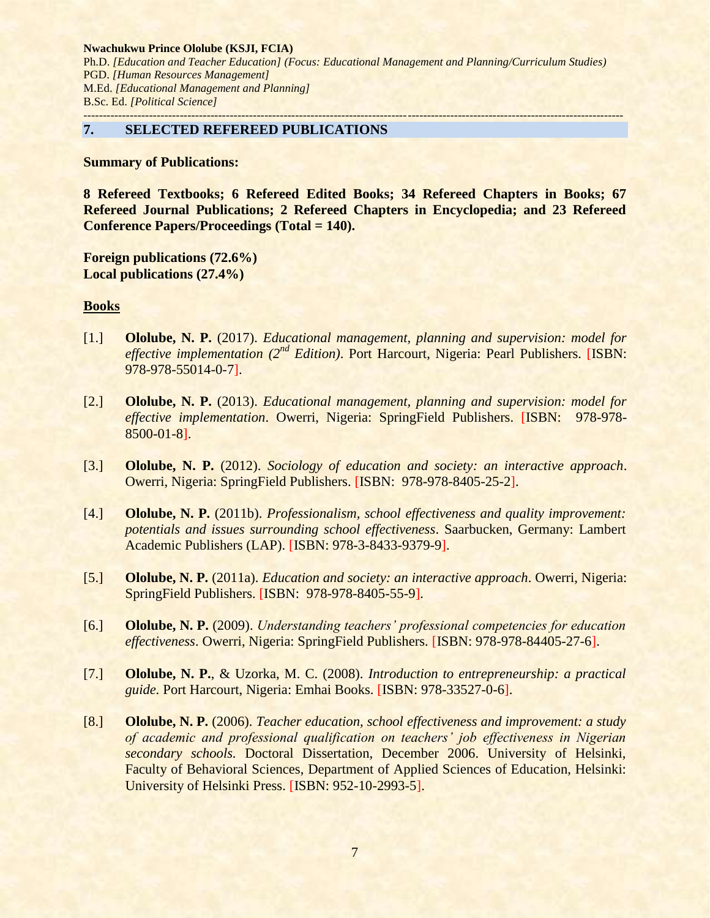#### **7. SELECTED REFEREED PUBLICATIONS**

**Summary of Publications:** 

**8 Refereed Textbooks; 6 Refereed Edited Books; 34 Refereed Chapters in Books; 67 Refereed Journal Publications; 2 Refereed Chapters in Encyclopedia; and 23 Refereed Conference Papers/Proceedings (Total = 140).**

**Foreign publications (72.6%) Local publications (27.4%)**

## **Books**

- [1.] **Ololube, N. P.** (2017). *Educational management, planning and supervision: model for effective implementation (2nd Edition)*. Port Harcourt, Nigeria: Pearl Publishers. [ISBN: 978-978-55014-0-7].
- [2.] **Ololube, N. P.** (2013). *Educational management, planning and supervision: model for effective implementation*. Owerri, Nigeria: SpringField Publishers. [ISBN: 978-978- 8500-01-8].
- [3.] **Ololube, N. P.** (2012). *Sociology of education and society: an interactive approach*. Owerri, Nigeria: SpringField Publishers. [ISBN: 978-978-8405-25-2].
- [4.] **Ololube, N. P.** (2011b). *Professionalism, school effectiveness and quality improvement: potentials and issues surrounding school effectiveness*. Saarbucken, Germany: Lambert Academic Publishers (LAP). [ISBN: 978-3-8433-9379-9].
- [5.] **Ololube, N. P.** (2011a). *Education and society: an interactive approach*. Owerri, Nigeria: SpringField Publishers. [ISBN: 978-978-8405-55-9].
- [6.] **Ololube, N. P.** (2009). *Understanding teachers' professional competencies for education effectiveness*. Owerri, Nigeria: SpringField Publishers. [ISBN: 978-978-84405-27-6].
- [7.] **Ololube, N. P.**, & Uzorka, M. C. (2008). *Introduction to entrepreneurship: a practical guide.* Port Harcourt, Nigeria: Emhai Books. [ISBN: 978-33527-0-6].
- [8.] **Ololube, N. P.** (2006). *Teacher education, school effectiveness and improvement: a study of academic and professional qualification on teachers' job effectiveness in Nigerian secondary schools.* Doctoral Dissertation, December 2006. University of Helsinki, Faculty of Behavioral Sciences, Department of Applied Sciences of Education, Helsinki: University of Helsinki Press. [ISBN: 952-10-2993-5].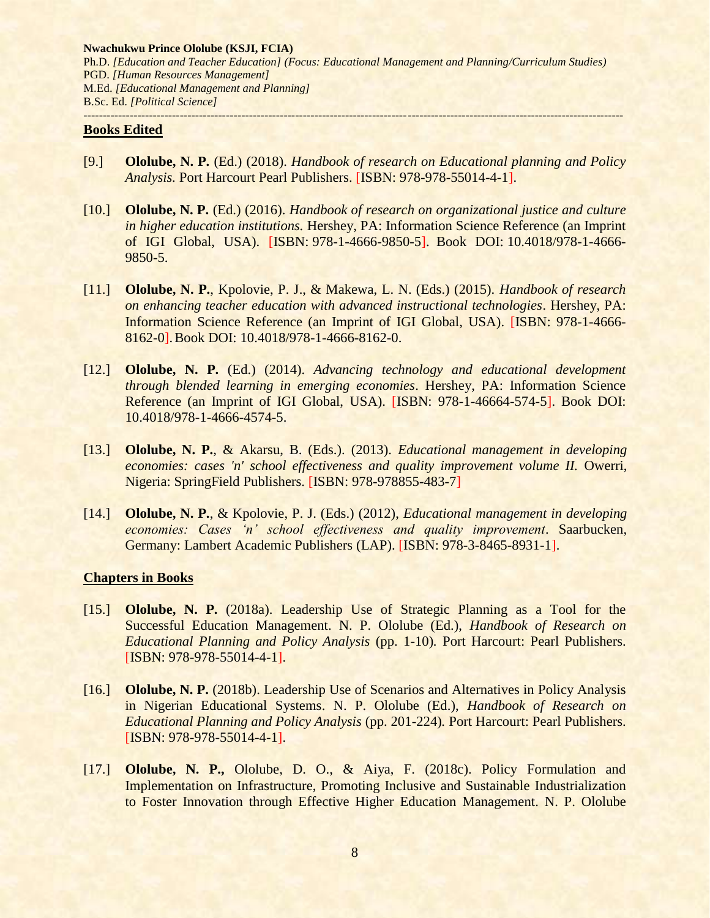#### **Books Edited**

- [9.] **Ololube, N. P.** (Ed.) (2018). *Handbook of research on Educational planning and Policy Analysis.* Port Harcourt Pearl Publishers. [ISBN: 978-978-55014-4-1].
- [10.] **Ololube, N. P.** (Ed.) (2016). *Handbook of research on organizational justice and culture in higher education institutions.* Hershey, PA: Information Science Reference (an Imprint of IGI Global, USA). [ISBN: 978-1-4666-9850-5]. Book DOI: 10.4018/978-1-4666- 9850-5.
- [11.] **Ololube, N. P.**, Kpolovie, P. J., & Makewa, L. N. (Eds.) (2015). *Handbook of research on enhancing teacher education with advanced instructional technologies*. Hershey, PA: Information Science Reference (an Imprint of IGI Global, USA). [ISBN: 978-1-4666- 8162-0].Book DOI: 10.4018/978-1-4666-8162-0.
- [12.] **Ololube, N. P.** (Ed.) (2014). *Advancing technology and educational development through blended learning in emerging economies*. Hershey, PA: Information Science Reference (an Imprint of IGI Global, USA). [ISBN: 978-1-46664-574-5]. Book DOI: 10.4018/978-1-4666-4574-5.
- [13.] **Ololube, N. P.**, & Akarsu, B. (Eds.). (2013). *Educational management in developing economies: cases 'n' school effectiveness and quality improvement volume II.* Owerri, Nigeria: SpringField Publishers. [ISBN: 978-978855-483-7]
- [14.] **Ololube, N. P.**, & Kpolovie, P. J. (Eds.) (2012), *Educational management in developing economies: Cases 'n' school effectiveness and quality improvement*. Saarbucken, Germany: Lambert Academic Publishers (LAP). [ISBN: 978-3-8465-8931-1].

## **Chapters in Books**

- [15.] **Ololube, N. P.** (2018a). Leadership Use of Strategic Planning as a Tool for the Successful Education Management. N. P. Ololube (Ed.), *Handbook of Research on Educational Planning and Policy Analysis* (pp. 1-10)*.* Port Harcourt: Pearl Publishers. [ISBN: 978-978-55014-4-1].
- [16.] **Ololube, N. P.** (2018b). Leadership Use of Scenarios and Alternatives in Policy Analysis in Nigerian Educational Systems. N. P. Ololube (Ed.), *Handbook of Research on Educational Planning and Policy Analysis* (pp. 201-224)*.* Port Harcourt: Pearl Publishers. [ISBN: 978-978-55014-4-1].
- [17.] **Ololube, N. P.,** Ololube, D. O., & Aiya, F. (2018c). Policy Formulation and Implementation on Infrastructure, Promoting Inclusive and Sustainable Industrialization to Foster Innovation through Effective Higher Education Management. N. P. Ololube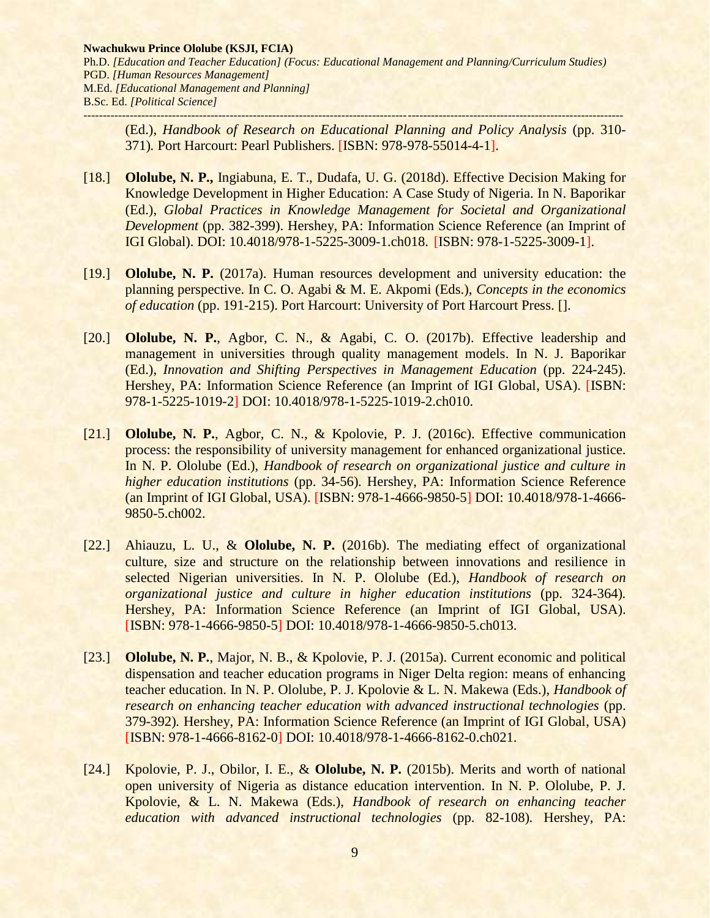(Ed.), *Handbook of Research on Educational Planning and Policy Analysis* (pp. 310- 371)*.* Port Harcourt: Pearl Publishers. [ISBN: 978-978-55014-4-1].

- [18.] **Ololube, N. P.,** Ingiabuna, E. T., Dudafa, U. G. (2018d). Effective Decision Making for Knowledge Development in Higher Education: A Case Study of Nigeria. In N. Baporikar (Ed.), *Global Practices in Knowledge Management for Societal and Organizational Development* (pp. 382-399). Hershey, PA: Information Science Reference (an Imprint of IGI Global). DOI: 10.4018/978-1-5225-3009-1.ch018. [ISBN: 978-1-5225-3009-1].
- [19.] **Ololube, N. P.** (2017a). Human resources development and university education: the planning perspective. In C. O. Agabi & M. E. Akpomi (Eds.), *Concepts in the economics of education* (pp. 191-215). Port Harcourt: University of Port Harcourt Press. [].
- [20.] **Ololube, N. P.**, Agbor, C. N., & Agabi, C. O. (2017b). Effective leadership and management in universities through quality management models. In N. J. Baporikar (Ed.), *Innovation and Shifting Perspectives in Management Education* (pp. 224-245). Hershey, PA: Information Science Reference (an Imprint of IGI Global, USA). [ISBN: 978-1-5225-1019-2] DOI: 10.4018/978-1-5225-1019-2.ch010.
- [21.] **Ololube, N. P.**, Agbor, C. N., & Kpolovie, P. J. (2016c). Effective communication process: the responsibility of university management for enhanced organizational justice. In N. P. Ololube (Ed.), *Handbook of research on organizational justice and culture in higher education institutions* (pp. 34-56). Hershey, PA: Information Science Reference (an Imprint of IGI Global, USA). [ISBN: 978-1-4666-9850-5] DOI: 10.4018/978-1-4666- 9850-5.ch002.
- [22.] Ahiauzu, L. U., & **Ololube, N. P.** (2016b). The mediating effect of organizational culture, size and structure on the relationship between innovations and resilience in selected Nigerian universities. In N. P. Ololube (Ed.), *Handbook of research on organizational justice and culture in higher education institutions* (pp. 324-364)*.* Hershey, PA: Information Science Reference (an Imprint of IGI Global, USA). [ISBN: 978-1-4666-9850-5] DOI: 10.4018/978-1-4666-9850-5.ch013.
- [23.] **Ololube, N. P.**, Major, N. B., & Kpolovie, P. J. (2015a). Current economic and political dispensation and teacher education programs in Niger Delta region: means of enhancing teacher education. In N. P. Ololube, P. J. Kpolovie & L. N. Makewa (Eds.), *Handbook of research on enhancing teacher education with advanced instructional technologies* (pp. 379-392)*.* Hershey, PA: Information Science Reference (an Imprint of IGI Global, USA) [ISBN: 978-1-4666-8162-0] DOI: 10.4018/978-1-4666-8162-0.ch021.
- [24.] Kpolovie, P. J., Obilor, I. E., & **Ololube, N. P.** (2015b). Merits and worth of national open university of Nigeria as distance education intervention. In N. P. Ololube, P. J. Kpolovie, & L. N. Makewa (Eds.), *Handbook of research on enhancing teacher education with advanced instructional technologies* (pp. 82-108)*.* Hershey, PA: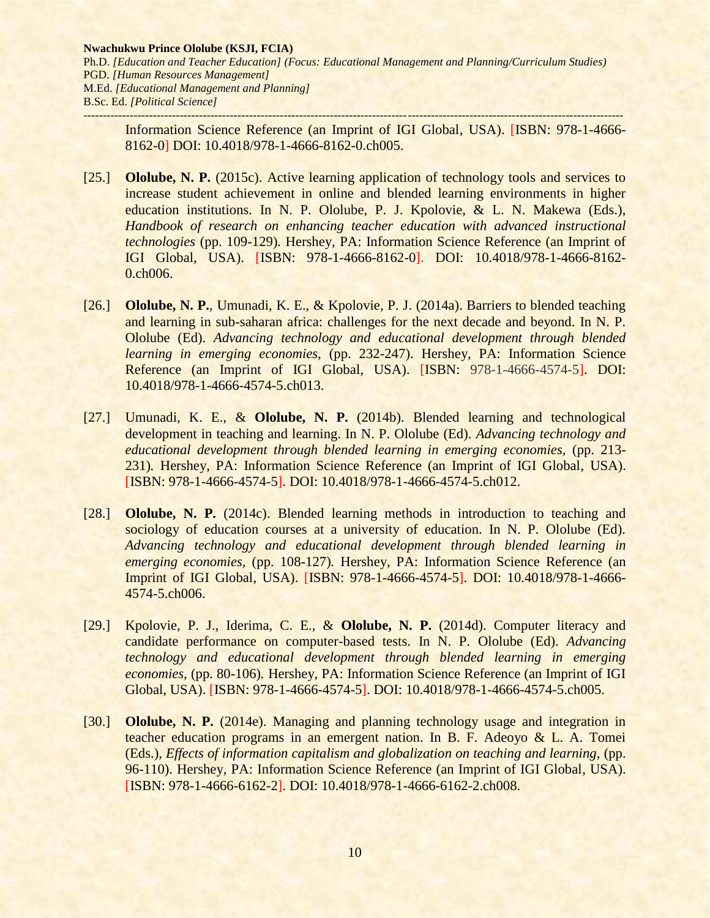Information Science Reference (an Imprint of IGI Global, USA). [ISBN: 978-1-4666- 8162-0] DOI: 10.4018/978-1-4666-8162-0.ch005.

- [25.] **Ololube, N. P.** (2015c). Active learning application of technology tools and services to increase student achievement in online and blended learning environments in higher education institutions. In N. P. Ololube, P. J. Kpolovie, & L. N. Makewa (Eds.), *Handbook of research on enhancing teacher education with advanced instructional technologies* (pp. 109-129)*.* Hershey, PA: Information Science Reference (an Imprint of IGI Global, USA). [ISBN: 978-1-4666-8162-0]. DOI: 10.4018/978-1-4666-8162- 0.ch006.
- [26.] **Ololube, N. P.**, Umunadi, K. E., & Kpolovie, P. J. (2014a). Barriers to blended teaching and learning in sub-saharan africa: challenges for the next decade and beyond. In N. P. Ololube (Ed). *Advancing technology and educational development through blended learning in emerging economies,* (pp. 232-247). Hershey, PA: Information Science Reference (an Imprint of IGI Global, USA). [ISBN: 978-1-4666-4574-5]. DOI: 10.4018/978-1-4666-4574-5.ch013.
- [27.] Umunadi, K. E., & **Ololube, N. P.** (2014b). Blended learning and technological development in teaching and learning. In N. P. Ololube (Ed). *Advancing technology and educational development through blended learning in emerging economies,* (pp. 213- 231)*.* Hershey, PA: Information Science Reference (an Imprint of IGI Global, USA). [ISBN: 978-1-4666-4574-5]. DOI: 10.4018/978-1-4666-4574-5.ch012.
- [28.] **Ololube, N. P.** (2014c). Blended learning methods in introduction to teaching and sociology of education courses at a university of education. In N. P. Ololube (Ed). *Advancing technology and educational development through blended learning in emerging economies,* (pp. 108-127)*.* Hershey, PA: Information Science Reference (an Imprint of IGI Global, USA). [ISBN: 978-1-4666-4574-5]. DOI: 10.4018/978-1-4666- 4574-5.ch006.
- [29.] Kpolovie, P. J., Iderima, C. E., & **Ololube, N. P.** (2014d). Computer literacy and candidate performance on computer-based tests. In N. P. Ololube (Ed). *Advancing technology and educational development through blended learning in emerging economies,* (pp. 80-106)*.* Hershey, PA: Information Science Reference (an Imprint of IGI Global, USA). [ISBN: 978-1-4666-4574-5]. DOI: 10.4018/978-1-4666-4574-5.ch005.
- [30.] **Ololube, N. P.** (2014e). Managing and planning technology usage and integration in teacher education programs in an emergent nation. In B. F. Adeoyo & L. A. Tomei (Eds.), *Effects of information capitalism and globalization on teaching and learning,* (pp. 96-110). Hershey, PA: Information Science Reference (an Imprint of IGI Global, USA). [ISBN: 978-1-4666-6162-2]. DOI: 10.4018/978-1-4666-6162-2.ch008.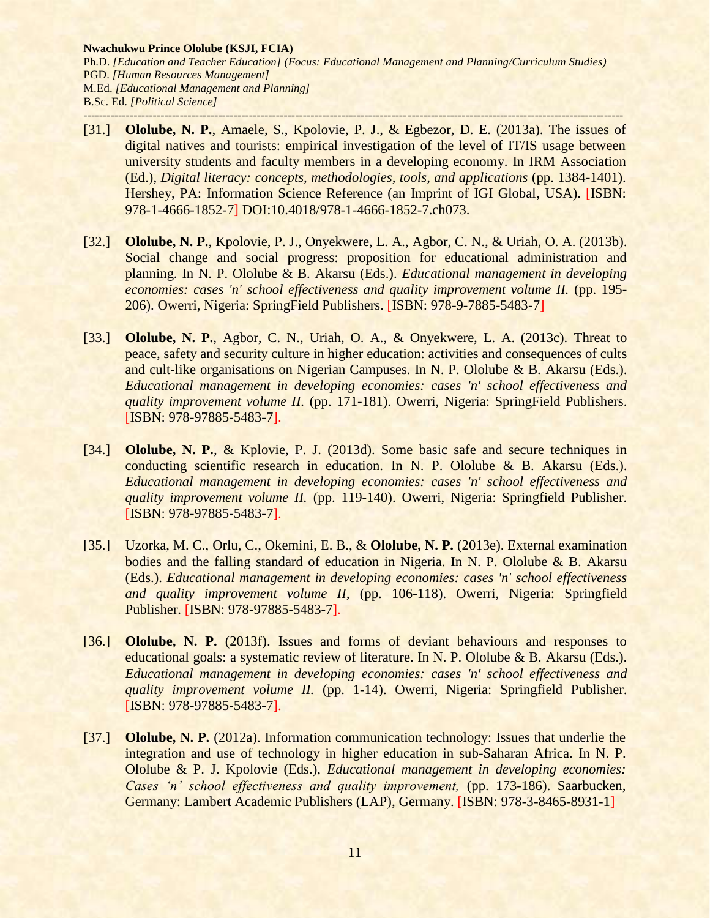- [31.] **Ololube, N. P.**, Amaele, S., Kpolovie, P. J., & Egbezor, D. E. (2013a). The issues of digital natives and tourists: empirical investigation of the level of IT/IS usage between university students and faculty members in a developing economy. In IRM Association (Ed.), *Digital literacy: concepts, methodologies, tools, and applications* (pp. 1384-1401). Hershey, PA: Information Science Reference (an Imprint of IGI Global, USA). [ISBN: 978-1-4666-1852-7] DOI:10.4018/978-1-4666-1852-7.ch073.
- [32.] **Ololube, N. P.**, Kpolovie, P. J., Onyekwere, L. A., Agbor, C. N., & Uriah, O. A. (2013b). Social change and social progress: proposition for educational administration and planning. In N. P. Ololube & B. Akarsu (Eds.). *Educational management in developing economies: cases 'n' school effectiveness and quality improvement volume II.* (pp. 195- 206). Owerri, Nigeria: SpringField Publishers. [ISBN: 978-9-7885-5483-7]
- [33.] **Ololube, N. P.**, Agbor, C. N., Uriah, O. A., & Onyekwere, L. A. (2013c). Threat to peace, safety and security culture in higher education: activities and consequences of cults and cult-like organisations on Nigerian Campuses. In N. P. Ololube & B. Akarsu (Eds.). *Educational management in developing economies: cases 'n' school effectiveness and quality improvement volume II.* (pp. 171-181). Owerri, Nigeria: SpringField Publishers. [ISBN: 978-97885-5483-7].
- [34.] **Ololube, N. P.**, & Kplovie, P. J. (2013d). Some basic safe and secure techniques in conducting scientific research in education. In N. P. Ololube & B. Akarsu (Eds.). *Educational management in developing economies: cases 'n' school effectiveness and quality improvement volume II.* (pp. 119-140). Owerri, Nigeria: Springfield Publisher. [ISBN: 978-97885-5483-7].
- [35.] Uzorka, M. C., Orlu, C., Okemini, E. B., & **Ololube, N. P.** (2013e). External examination bodies and the falling standard of education in Nigeria. In N. P. Ololube & B. Akarsu (Eds.). *Educational management in developing economies: cases 'n' school effectiveness and quality improvement volume II,* (pp. 106-118). Owerri, Nigeria: Springfield Publisher. [ISBN: 978-97885-5483-7].
- [36.] **Ololube, N. P.** (2013f). Issues and forms of deviant behaviours and responses to educational goals: a systematic review of literature. In N. P. Ololube & B. Akarsu (Eds.). *Educational management in developing economies: cases 'n' school effectiveness and quality improvement volume II.* (pp. 1-14). Owerri, Nigeria: Springfield Publisher. [ISBN: 978-97885-5483-7].
- [37.] **Ololube, N. P.** (2012a). Information communication technology: Issues that underlie the integration and use of technology in higher education in sub-Saharan Africa. In N. P. Ololube & P. J. Kpolovie (Eds.), *Educational management in developing economies: Cases 'n' school effectiveness and quality improvement,* (pp. 173-186). Saarbucken, Germany: Lambert Academic Publishers (LAP), Germany. [ISBN: 978-3-8465-8931-1]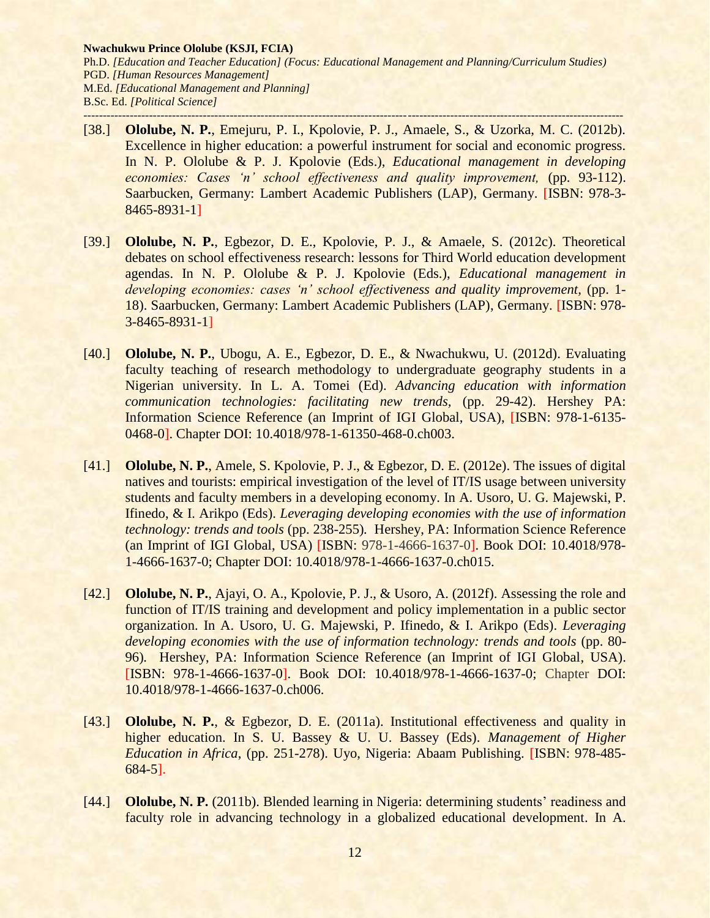- [38.] **Ololube, N. P.**, Emejuru, P. I., Kpolovie, P. J., Amaele, S., & Uzorka, M. C. (2012b). Excellence in higher education: a powerful instrument for social and economic progress. In N. P. Ololube & P. J. Kpolovie (Eds.), *Educational management in developing economies: Cases 'n' school effectiveness and quality improvement, (pp. 93-112).* Saarbucken, Germany: Lambert Academic Publishers (LAP), Germany. [ISBN: 978-3- 8465-8931-1]
- [39.] **Ololube, N. P.**, Egbezor, D. E., Kpolovie, P. J., & Amaele, S. (2012c). Theoretical debates on school effectiveness research: lessons for Third World education development agendas. In N. P. Ololube & P. J. Kpolovie (Eds.), *Educational management in developing economies: cases 'n' school effectiveness and quality improvement, (pp. 1-*18). Saarbucken, Germany: Lambert Academic Publishers (LAP), Germany. [ISBN: 978- 3-8465-8931-1]
- [40.] **Ololube, N. P.**, Ubogu, A. E., Egbezor, D. E., & Nwachukwu, U. (2012d). Evaluating faculty teaching of research methodology to undergraduate geography students in a Nigerian university. In L. A. Tomei (Ed). *Advancing education with information communication technologies: facilitating new trends,* (pp. 29-42). Hershey PA: Information Science Reference (an Imprint of IGI Global, USA), [ISBN: 978-1-6135- 0468-0]. Chapter DOI: 10.4018/978-1-61350-468-0.ch003.
- [41.] **Ololube, N. P.**, Amele, S. Kpolovie, P. J., & Egbezor, D. E. (2012e). The issues of digital natives and tourists: empirical investigation of the level of IT/IS usage between university students and faculty members in a developing economy. In A. Usoro, U. G. Majewski, P. Ifinedo, & I. Arikpo (Eds). *Leveraging developing economies with the use of information technology: trends and tools* (pp. 238-255)*.* Hershey, PA: Information Science Reference (an Imprint of IGI Global, USA) [ISBN: 978-1-4666-1637-0]. Book DOI: 10.4018/978- 1-4666-1637-0; Chapter DOI: 10.4018/978-1-4666-1637-0.ch015.
- [42.] **Ololube, N. P.**, Ajayi, O. A., Kpolovie, P. J., & Usoro, A. (2012f). Assessing the role and function of IT/IS training and development and policy implementation in a public sector organization. In A. Usoro, U. G. Majewski, P. Ifinedo, & I. Arikpo (Eds). *Leveraging developing economies with the use of information technology: trends and tools (pp. 80-*96)*.* Hershey, PA: Information Science Reference (an Imprint of IGI Global, USA). [ISBN: 978-1-4666-1637-0]. Book DOI: 10.4018/978-1-4666-1637-0; Chapter DOI: 10.4018/978-1-4666-1637-0.ch006.
- [43.] **Ololube, N. P.**, & Egbezor, D. E. (2011a). Institutional effectiveness and quality in higher education. In S. U. Bassey & U. U. Bassey (Eds). *Management of Higher Education in Africa*, (pp. 251-278). Uyo, Nigeria: Abaam Publishing. [ISBN: 978-485- 684-5].
- [44.] **Ololube, N. P.** (2011b). Blended learning in Nigeria: determining students' readiness and faculty role in advancing technology in a globalized educational development. In A.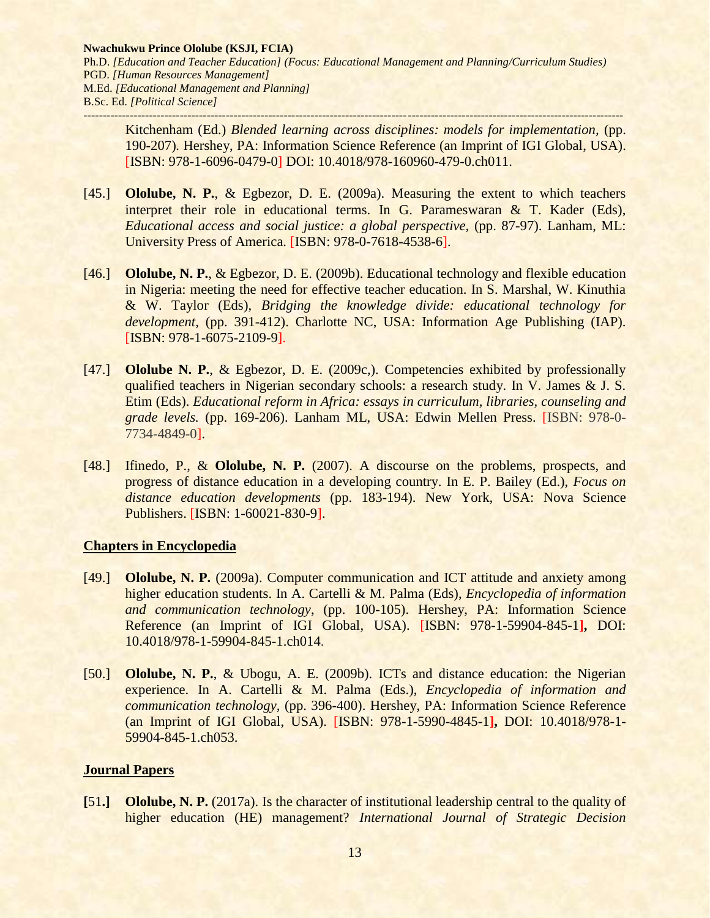Kitchenham (Ed.) *Blended learning across disciplines: models for implementation,* (pp. 190-207)*.* Hershey, PA: Information Science Reference (an Imprint of IGI Global, USA). [ISBN: 978-1-6096-0479-0] DOI: 10.4018/978-160960-479-0.ch011.

- [45.] **Ololube, N. P.**, & Egbezor, D. E. (2009a). Measuring the extent to which teachers interpret their role in educational terms. In G. Parameswaran & T. Kader (Eds), *Educational access and social justice: a global perspective,* (pp. 87-97). Lanham, ML: University Press of America. [ISBN: 978-0-7618-4538-6].
- [46.] **Ololube, N. P.**, & Egbezor, D. E. (2009b). Educational technology and flexible education in Nigeria: meeting the need for effective teacher education. In S. Marshal, W. Kinuthia & W. Taylor (Eds), *Bridging the knowledge divide: educational technology for development,* (pp. 391-412). Charlotte NC, USA: Information Age Publishing (IAP). [ISBN: 978-1-6075-2109-9].
- [47.] **Ololube N. P.**, & Egbezor, D. E. (2009c,). Competencies exhibited by professionally qualified teachers in Nigerian secondary schools: a research study. In V. James & J. S. Etim (Eds). *Educational reform in Africa: essays in curriculum, libraries, counseling and grade levels.* (pp. 169-206). Lanham ML, USA: Edwin Mellen Press. [ISBN: 978-0- 7734-4849-0].
- [48.] Ifinedo, P., & **Ololube, N. P.** (2007). A discourse on the problems, prospects, and progress of distance education in a developing country. In E. P. Bailey (Ed.), *Focus on distance education developments* (pp. 183-194). New York, USA: Nova Science Publishers. [ISBN: 1-60021-830-9].

# **Chapters in Encyclopedia**

- [49.] **Ololube, N. P.** (2009a). Computer communication and ICT attitude and anxiety among higher education students. In A. Cartelli & M. Palma (Eds), *Encyclopedia of information and communication technology*, (pp. 100-105). Hershey, PA: Information Science Reference (an Imprint of IGI Global, USA). [ISBN: 978-1-59904-845-1**],** DOI: 10.4018/978-1-59904-845-1.ch014.
- [50.] **Ololube, N. P.**, & Ubogu, A. E. (2009b). ICTs and distance education: the Nigerian experience. In A. Cartelli & M. Palma (Eds.), *Encyclopedia of information and communication technology,* (pp. 396-400). Hershey, PA: Information Science Reference (an Imprint of IGI Global, USA). [ISBN: 978-1-5990-4845-1**],** DOI: 10.4018/978-1- 59904-845-1.ch053.

# **Journal Papers**

**[**51**.] Ololube, N. P.** (2017a). Is the character of institutional leadership central to the quality of higher education (HE) management? *International Journal of Strategic Decision*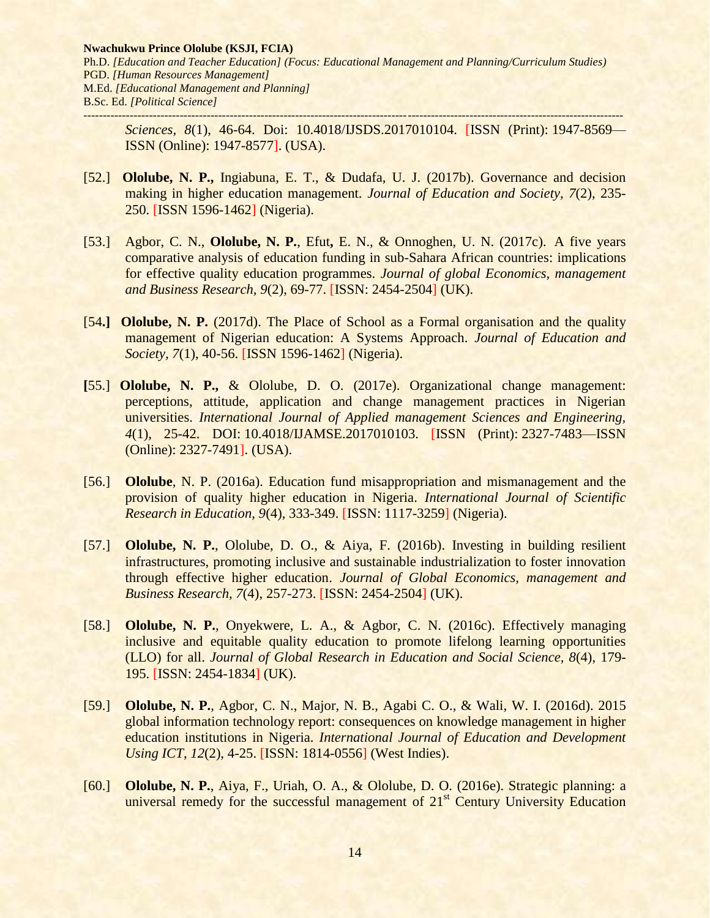*Sciences, 8*(1), 46-64. Doi: 10.4018/IJSDS.2017010104. [ISSN (Print): 1947-8569— ISSN (Online): 1947-8577]. (USA).

- [52.] **Ololube, N. P.,** Ingiabuna, E. T., & Dudafa, U. J. (2017b). Governance and decision making in higher education management. *Journal of Education and Society, 7*(2), 235- 250. [ISSN 1596-1462] (Nigeria).
- [53.] Agbor, C. N., **Ololube, N. P.**, Efut**,** E. N., & Onnoghen, U. N. (2017c).A five years comparative analysis of education funding in sub-Sahara African countries: implications for effective quality education programmes. *Journal of global Economics, management and Business Research, 9*(2), 69-77. [ISSN: 2454-2504] (UK).
- [54**.] Ololube, N. P.** (2017d). The Place of School as a Formal organisation and the quality management of Nigerian education: A Systems Approach. *Journal of Education and Society, 7(1), 40-56.* [ISSN 1596-1462] (Nigeria).
- **[**55.] **Ololube, N. P.,** & Ololube, D. O. (2017e). Organizational change management: perceptions, attitude, application and change management practices in Nigerian universities. *International Journal of Applied management Sciences and Engineering, 4*(1), 25-42. DOI: 10.4018/IJAMSE.2017010103. [ISSN (Print): 2327-7483—ISSN (Online): 2327-7491]. (USA).
- [56.] **Ololube**, N. P. (2016a). Education fund misappropriation and mismanagement and the provision of quality higher education in Nigeria. *International Journal of Scientific Research in Education, 9*(4), 333-349. [ISSN: 1117-3259] (Nigeria).
- [57.] **Ololube, N. P.**, Ololube, D. O., & Aiya, F. (2016b). Investing in building resilient infrastructures, promoting inclusive and sustainable industrialization to foster innovation through effective higher education. *Journal of Global Economics, management and Business Research, 7*(4), 257-273. [ISSN: 2454-2504] (UK).
- [58.] **Ololube, N. P.**, Onyekwere, L. A., & Agbor, C. N. (2016c). Effectively managing inclusive and equitable quality education to promote lifelong learning opportunities (LLO) for all. *Journal of Global Research in Education and Social Science, 8*(4), 179- 195. [ISSN: 2454-1834] (UK).
- [59.] **Ololube, N. P.**, Agbor, C. N., Major, N. B., Agabi C. O., & Wali, W. I. (2016d). 2015 global information technology report: consequences on knowledge management in higher education institutions in Nigeria. *International Journal of Education and Development Using ICT*, *12*(2), 4-25. [ISSN: 1814-0556] (West Indies).
- [60.] **Ololube, N. P.**, Aiya, F., Uriah, O. A., & Ololube, D. O. (2016e). Strategic planning: a universal remedy for the successful management of  $21<sup>st</sup>$  Century University Education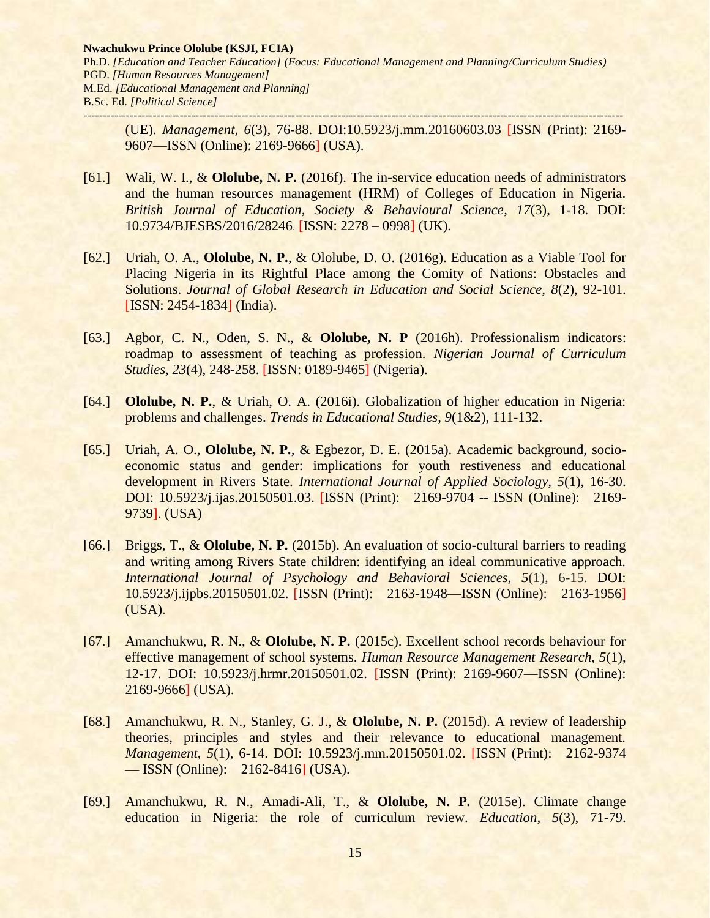(UE). *Management, 6*(3), 76-88. DOI:10.5923/j.mm.20160603.03 [ISSN (Print): 2169- 9607—ISSN (Online): 2169-9666] (USA).

- [61.] Wali, W. I., & **Ololube, N. P.** (2016f). The in-service education needs of administrators and the human resources management (HRM) of Colleges of Education in Nigeria. *British Journal of Education, Society & Behavioural Science, 17*(3), 1-18. DOI: 10.9734/BJESBS/2016/28246. [ISSN: 2278 – 0998] (UK).
- [62.] Uriah, O. A., **Ololube, N. P.**, & Ololube, D. O. (2016g). Education as a Viable Tool for Placing Nigeria in its Rightful Place among the Comity of Nations: Obstacles and Solutions. *Journal of Global Research in Education and Social Science, 8*(2), 92-101. [ISSN: 2454-1834] (India).
- [63.] Agbor, C. N., Oden, S. N., & **Ololube, N. P** (2016h). Professionalism indicators: roadmap to assessment of teaching as profession. *Nigerian Journal of Curriculum Studies, 23*(4), 248-258. [ISSN: 0189-9465] (Nigeria).
- [64.] **Ololube, N. P.**, & Uriah, O. A. (2016i). Globalization of higher education in Nigeria: problems and challenges. *Trends in Educational Studies, 9*(1&2), 111-132.
- [65.] Uriah, A. O., **Ololube, N. P.**, & Egbezor, D. E. (2015a). Academic background, socioeconomic status and gender: implications for youth restiveness and educational development in Rivers State. *International Journal of Applied Sociology, 5*(1), 16-30. DOI: 10.5923/j.ijas.20150501.03. [ISSN (Print): 2169-9704 -- ISSN (Online): 2169- 9739]. (USA)
- [66.] Briggs, T., & **Ololube, N. P.** (2015b). An evaluation of socio-cultural barriers to reading and writing among Rivers State children: identifying an ideal communicative approach. *International Journal of Psychology and Behavioral Sciences, 5*(1), 6-15. DOI: 10.5923/j.ijpbs.20150501.02. [ISSN (Print): 2163-1948—ISSN (Online): 2163-1956] (USA).
- [67.] Amanchukwu, R. N., & **Ololube, N. P.** (2015c). Excellent school records behaviour for effective management of school systems. *Human Resource Management Research, 5*(1), 12-17. DOI: 10.5923/j.hrmr.20150501.02. [ISSN (Print): 2169-9607—ISSN (Online): 2169-9666] (USA).
- [68.] Amanchukwu, R. N., Stanley, G. J., & **Ololube, N. P.** (2015d). A review of leadership theories, principles and styles and their relevance to educational management. *Management*, *5*(1), 6-14. DOI: 10.5923/j.mm.20150501.02. [ISSN (Print): 2162-9374 — ISSN (Online): 2162-8416] (USA).
- [69.] Amanchukwu, R. N., Amadi-Ali, T., & **Ololube, N. P.** (2015e). Climate change education in Nigeria: the role of curriculum review. *Education*, *5*(3), 71-79.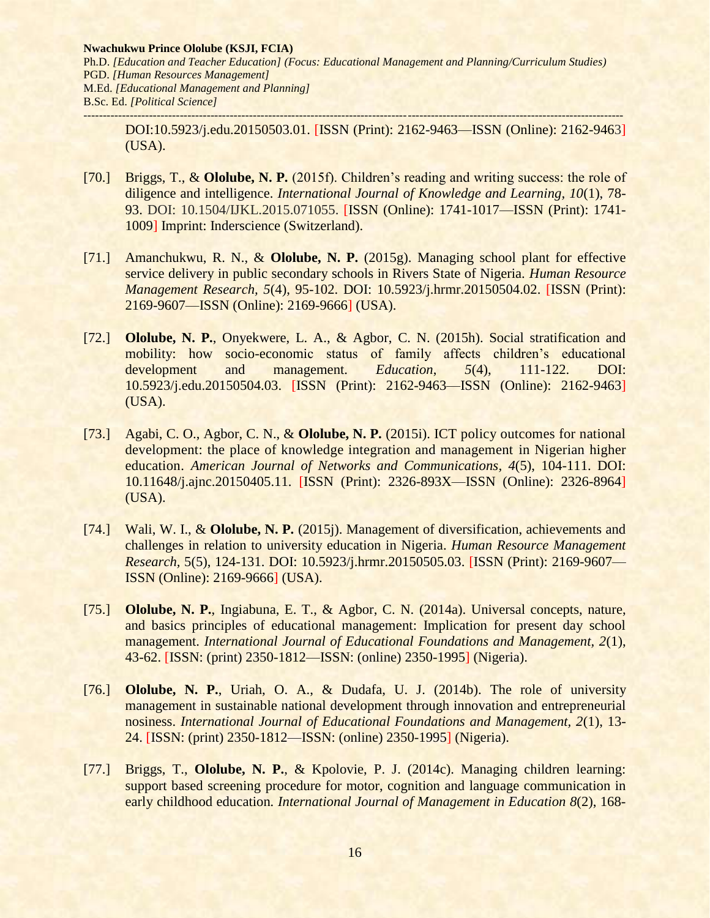DOI:10.5923/j.edu.20150503.01. [ISSN (Print): 2162-9463—ISSN (Online): 2162-9463] (USA).

- [70.] Briggs, T., & **Ololube, N. P.** (2015f). Children's reading and writing success: the role of diligence and intelligence. *International Journal of Knowledge and Learning, 10*(1), 78- 93. DOI: 10.1504/IJKL.2015.071055. [ISSN (Online): 1741-1017—ISSN (Print): 1741- 1009] Imprint: Inderscience (Switzerland).
- [71.] Amanchukwu, R. N., & **Ololube, N. P.** (2015g). Managing school plant for effective service delivery in public secondary schools in Rivers State of Nigeria. *Human Resource Management Research, 5*(4), 95-102. DOI: 10.5923/j.hrmr.20150504.02. [ISSN (Print): 2169-9607—ISSN (Online): 2169-9666] (USA).
- [72.] **Ololube, N. P.**, Onyekwere, L. A., & Agbor, C. N. (2015h). Social stratification and mobility: how socio-economic status of family affects children's educational development and management. *Education*, *5*(4), 111-122. DOI: 10.5923/j.edu.20150504.03. [ISSN (Print): 2162-9463—ISSN (Online): 2162-9463] (USA).
- [73.] Agabi, C. O., Agbor, C. N., & **Ololube, N. P.** (2015i). ICT policy outcomes for national development: the place of knowledge integration and management in Nigerian higher education. *[American Journal of Networks and Communications,](http://www.sciencepublishinggroup.com/journal/index?journalid=132) 4*(5), 104-111. DOI: 10.11648/j.ajnc.20150405.11. [ISSN (Print): 2326-893X—ISSN (Online): 2326-8964] (USA).
- [74.] Wali, W. I., & **Ololube, N. P.** (2015j). Management of diversification, achievements and challenges in relation to university education in Nigeria. *Human Resource Management Research,* 5(5), 124-131. DOI: 10.5923/j.hrmr.20150505.03. [ISSN (Print): 2169-9607— ISSN (Online): 2169-9666] (USA).
- [75.] **Ololube, N. P.**, Ingiabuna, E. T., & Agbor, C. N. (2014a). Universal concepts, nature, and basics principles of educational management: Implication for present day school management. *International Journal of Educational Foundations and Management, 2*(1), 43-62. [ISSN: (print) 2350-1812—ISSN: (online) 2350-1995] (Nigeria).
- [76.] **Ololube, N. P.**, Uriah, O. A., & Dudafa, U. J. (2014b). The role of university management in sustainable national development through innovation and entrepreneurial nosiness. *International Journal of Educational Foundations and Management, 2*(1), 13- 24. [ISSN: (print) 2350-1812—ISSN: (online) 2350-1995] (Nigeria).
- [77.] Briggs, T., **Ololube, N. P.**, & Kpolovie, P. J. (2014c). Managing children learning: support based screening procedure for motor, cognition and language communication in early childhood education*. International Journal of Management in Education 8*(2), 168-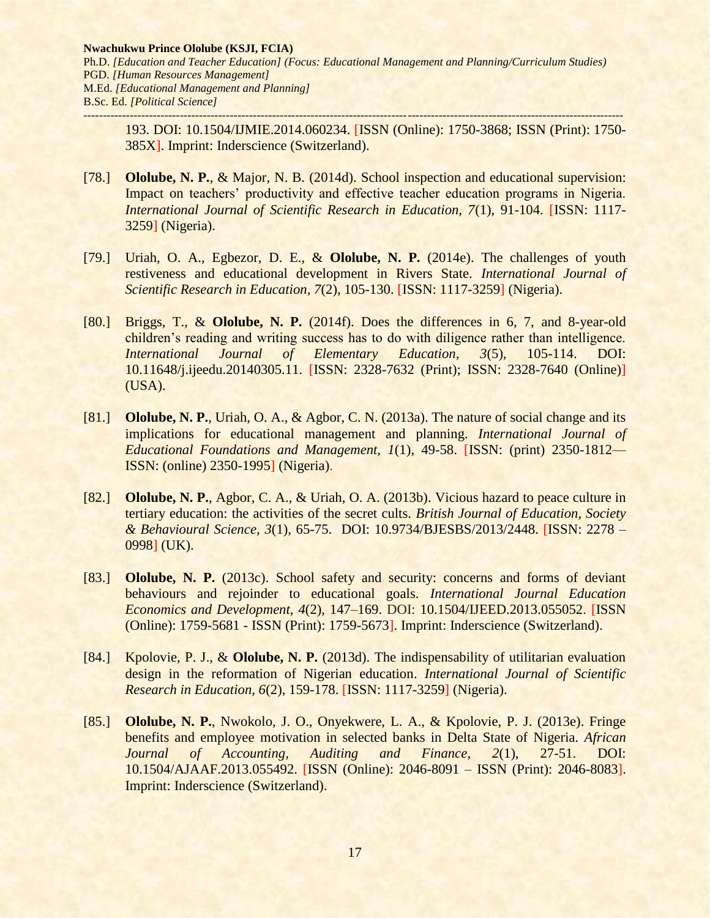193. DOI: 10.1504/IJMIE.2014.060234. [ISSN (Online): 1750-3868; ISSN (Print): 1750- 385X]. Imprint: Inderscience (Switzerland).

- [78.] **Ololube, N. P.**, & Major, N. B. (2014d). School inspection and educational supervision: Impact on teachers' productivity and effective teacher education programs in Nigeria. *International Journal of Scientific Research in Education, 7*(1), 91-104. [ISSN: 1117- 3259] (Nigeria).
- [79.] Uriah, O. A., Egbezor, D. E., & **Ololube, N. P.** (2014e). The challenges of youth restiveness and educational development in Rivers State. *International Journal of Scientific Research in Education, 7*(2), 105-130. [ISSN: 1117-3259] (Nigeria).
- [80.] Briggs, T., & **Ololube, N. P.** (2014f). Does the differences in 6, 7, and 8-year-old children's reading and writing success has to do with diligence rather than intelligence. *International Journal of Elementary Education, 3*(5), 105-114. DOI: 10.11648/j.ijeedu.20140305.11. [ISSN: 2328-7632 (Print); ISSN: 2328-7640 (Online)] (USA).
- [81.] **Ololube, N. P.**, Uriah, O. A., & Agbor, C. N. (2013a). The nature of social change and its implications for educational management and planning. *International Journal of Educational Foundations and Management, 1*(1), 49-58. [ISSN: (print) 2350-1812— ISSN: (online) 2350-1995] (Nigeria).
- [82.] **Ololube, N. P.**, Agbor, C. A., & Uriah, O. A. (2013b). Vicious hazard to peace culture in tertiary education: the activities of the secret cults. *British Journal of Education, Society & Behavioural Science, 3*(1), 65-75. DOI: 10.9734/BJESBS/2013/2448. [ISSN: 2278 – 0998] (UK).
- [83.] **Ololube, N. P.** (2013c). School safety and security: concerns and forms of deviant behaviours and rejoinder to educational goals. *International Journal Education Economics and Development, 4*(2), 147–169. DOI: 10.1504/IJEED.2013.055052. [ISSN (Online): 1759-5681 - ISSN (Print): 1759-5673]. Imprint: Inderscience (Switzerland).
- [84.] Kpolovie, P. J., & **Ololube, N. P.** (2013d). The indispensability of utilitarian evaluation design in the reformation of Nigerian education. *International Journal of Scientific Research in Education, 6*(2), 159-178. [ISSN: 1117-3259] (Nigeria).
- [85.] **Ololube, N. P.**, Nwokolo, J. O., Onyekwere, L. A., & Kpolovie, P. J. (2013e). Fringe benefits and employee motivation in selected banks in Delta State of Nigeria. *African Journal of Accounting, Auditing and Finance*, *2*(1), 27-51. DOI: 10.1504/AJAAF.2013.055492. [ISSN (Online): 2046-8091 – ISSN (Print): 2046-8083]. Imprint: Inderscience (Switzerland).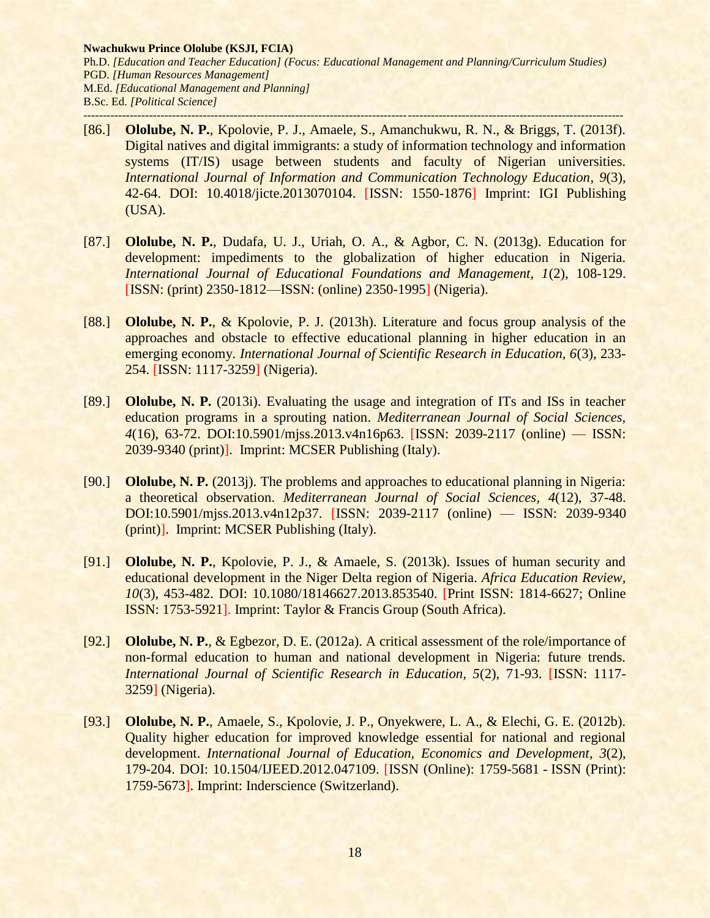- [86.] **Ololube, N. P.**, Kpolovie, P. J., Amaele, S., Amanchukwu, R. N., & Briggs, T. (2013f). Digital natives and digital immigrants: a study of information technology and information systems (IT/IS) usage between students and faculty of Nigerian universities. *International Journal of Information and Communication Technology Education, 9*(3), 42-64. DOI: 10.4018/jicte.2013070104. [ISSN: 1550-1876] Imprint: IGI Publishing (USA).
- [87.] **Ololube, N. P.**, Dudafa, U. J., Uriah, O. A., & Agbor, C. N. (2013g). Education for development: impediments to the globalization of higher education in Nigeria. *International Journal of Educational Foundations and Management, 1*(2), 108-129. [ISSN: (print) 2350-1812—ISSN: (online) 2350-1995] (Nigeria).
- [88.] **Ololube, N. P.**, & Kpolovie, P. J. (2013h). Literature and focus group analysis of the approaches and obstacle to effective educational planning in higher education in an emerging economy. *International Journal of Scientific Research in Education, 6*(3), 233- 254. [ISSN: 1117-3259] (Nigeria).
- [89.] **Ololube, N. P.** (2013i). Evaluating the usage and integration of ITs and ISs in teacher education programs in a sprouting nation. *Mediterranean Journal of Social Sciences, 4*(16), 63-72. DOI:10.5901/mjss.2013.v4n16p63. [ISSN: 2039-2117 (online) — ISSN: 2039-9340 (print)]. Imprint: MCSER Publishing (Italy).
- [90.] **Ololube, N. P.** (2013j). The problems and approaches to educational planning in Nigeria: a theoretical observation. *Mediterranean Journal of Social Sciences, 4*(12), 37-48. DOI:10.5901/mjss.2013.v4n12p37. [ISSN: 2039-2117 (online) — ISSN: 2039-9340 (print)]. Imprint: MCSER Publishing (Italy).
- [91.] **Ololube, N. P.**, Kpolovie, P. J., & Amaele, S. (2013k). Issues of human security and educational development in the Niger Delta region of Nigeria. *Africa Education Review, 10*(3), 453-482. DOI: 10.1080/18146627.2013.853540. [Print ISSN: 1814-6627; Online ISSN: 1753-5921]. Imprint: Taylor & Francis Group (South Africa).
- [92.] **Ololube, N. P.**, & Egbezor, D. E. (2012a). A critical assessment of the role/importance of non-formal education to human and national development in Nigeria: future trends. *International Journal of Scientific Research in Education, 5*(2), 71-93. [ISSN: 1117- 3259] (Nigeria).
- [93.] **Ololube, N. P.**, Amaele, S., Kpolovie, J. P., Onyekwere, L. A., & Elechi, G. E. (2012b). Quality higher education for improved knowledge essential for national and regional development. *International Journal of Education, Economics and Development*, *3*(2), 179-204. DOI: 10.1504/IJEED.2012.047109. [ISSN (Online): 1759-5681 - ISSN (Print): 1759-5673]. Imprint: Inderscience (Switzerland).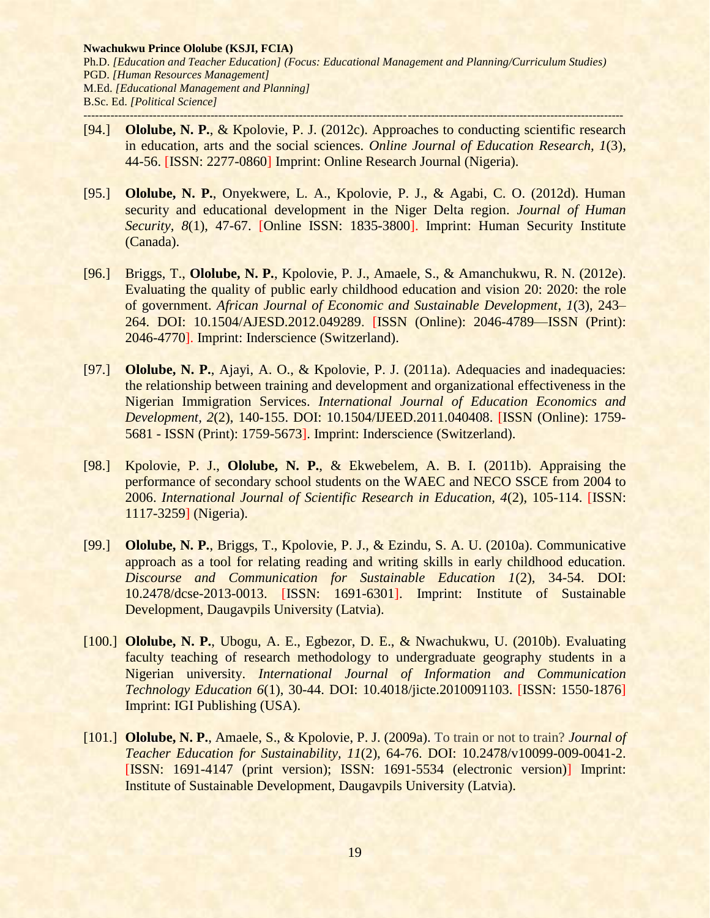- [94.] **Ololube, N. P.**, & Kpolovie, P. J. (2012c). Approaches to conducting scientific research in education, arts and the social sciences. *Online Journal of Education Research, 1*(3), 44-56. [ISSN: 2277-0860] Imprint: Online Research Journal (Nigeria).
- [95.] **Ololube, N. P.**, Onyekwere, L. A., Kpolovie, P. J., & Agabi, C. O. (2012d). Human security and educational development in the Niger Delta region. *Journal of Human Security, 8*(1), 47-67. [Online ISSN: 1835-3800]. Imprint: Human Security Institute (Canada).
- [96.] Briggs, T., **Ololube, N. P.**, Kpolovie, P. J., Amaele, S., & Amanchukwu, R. N. (2012e). Evaluating the quality of public early childhood education and vision 20: 2020: the role of government. *African Journal of Economic and Sustainable Development*, *1*(3), 243– 264. DOI: 10.1504/AJESD.2012.049289. [ISSN (Online): 2046-4789—ISSN (Print): 2046-4770]. Imprint: Inderscience (Switzerland).
- [97.] **Ololube, N. P.**, Ajayi, A. O., & Kpolovie, P. J. (2011a). Adequacies and inadequacies: the relationship between training and development and organizational effectiveness in the Nigerian Immigration Services. *International Journal of Education Economics and Development, 2*(2), 140-155. DOI: 10.1504/IJEED.2011.040408. [ISSN (Online): 1759- 5681 - ISSN (Print): 1759-5673]. Imprint: Inderscience (Switzerland).
- [98.] Kpolovie, P. J., **Ololube, N. P.**, & Ekwebelem, A. B. I. (2011b). Appraising the performance of secondary school students on the WAEC and NECO SSCE from 2004 to 2006. *International Journal of Scientific Research in Education, 4*(2), 105-114. [ISSN: 1117-3259] (Nigeria).
- [99.] **Ololube, N. P.**, Briggs, T., Kpolovie, P. J., & Ezindu, S. A. U. (2010a). Communicative approach as a tool for relating reading and writing skills in early childhood education. *Discourse and Communication for Sustainable Education 1*(2), 34-54. DOI: 10.2478/dcse-2013-0013. [ISSN: 1691-6301]. Imprint: Institute of Sustainable Development, Daugavpils University (Latvia).
- [100.] **Ololube, N. P.**, Ubogu, A. E., Egbezor, D. E., & Nwachukwu, U. (2010b). Evaluating faculty teaching of research methodology to undergraduate geography students in a Nigerian university. *International Journal of Information and Communication Technology Education 6*(1), 30-44. DOI: 10.4018/jicte.2010091103. [ISSN: 1550-1876] Imprint: IGI Publishing (USA).
- [101.] **Ololube, N. P.**, Amaele, S., & Kpolovie, P. J. (2009a). To train or not to train? *Journal of Teacher Education for Sustainability, 11*(2), 64-76. DOI: 10.2478/v10099-009-0041-2. [ISSN: 1691-4147 (print version); ISSN: 1691-5534 (electronic version)] Imprint: Institute of Sustainable Development, Daugavpils University (Latvia).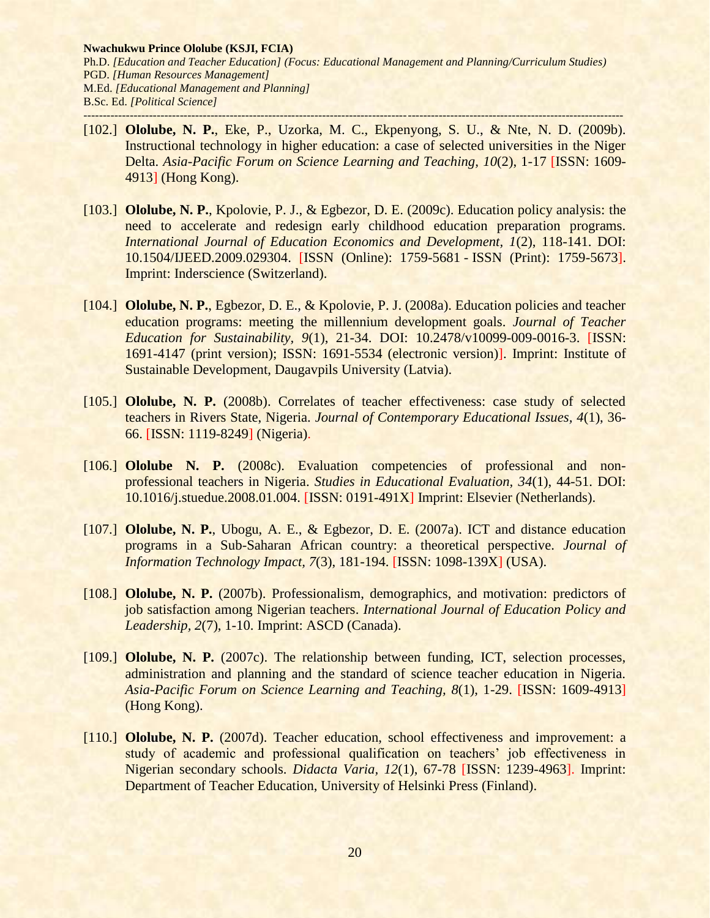- [102.] **Ololube, N. P.**, Eke, P., Uzorka, M. C., Ekpenyong, S. U., & Nte, N. D. (2009b). Instructional technology in higher education: a case of selected universities in the Niger Delta. *Asia-Pacific Forum on Science Learning and Teaching, 10*(2), 1-17 [ISSN: 1609- 4913] (Hong Kong).
- [103.] **Ololube, N. P.**, Kpolovie, P. J., & Egbezor, D. E. (2009c). Education policy analysis: the need to accelerate and redesign early childhood education preparation programs. *International Journal of Education Economics and Development, 1*(2), 118-141. DOI: 10.1504/IJEED.2009.029304. [ISSN (Online): 1759-5681 - ISSN (Print): 1759-5673]. Imprint: Inderscience (Switzerland).
- [104.] **Ololube, N. P.**, Egbezor, D. E., & Kpolovie, P. J. (2008a). Education policies and teacher education programs: meeting the millennium development goals. *Journal of Teacher Education for Sustainability, 9*(1), 21-34. DOI: 10.2478/v10099-009-0016-3. [ISSN: 1691-4147 (print version); ISSN: 1691-5534 (electronic version)]. Imprint: Institute of Sustainable Development, Daugavpils University (Latvia).
- [105.] **Ololube, N. P.** (2008b). Correlates of teacher effectiveness: case study of selected teachers in Rivers State, Nigeria. *Journal of Contemporary Educational Issues, 4*(1), 36- 66. [ISSN: 1119-8249] (Nigeria).
- [106.] **Ololube N. P.** (2008c). Evaluation competencies of professional and nonprofessional teachers in Nigeria. *Studies in Educational Evaluation, 34*(1), 44-51. DOI: 10.1016/j.stuedue.2008.01.004. [ISSN: 0191-491X] Imprint: Elsevier (Netherlands).
- [107.] **Ololube, N. P.**, Ubogu, A. E., & Egbezor, D. E. (2007a). ICT and distance education programs in a Sub-Saharan African country: a theoretical perspective. *Journal of Information Technology Impact, 7*(3), 181-194. [ISSN: 1098-139X] (USA).
- [108.] **Ololube, N. P.** (2007b). Professionalism, demographics, and motivation: predictors of job satisfaction among Nigerian teachers. *International Journal of Education Policy and Leadership, 2*(7), 1-10. Imprint: ASCD (Canada).
- [109.] **Ololube, N. P.** (2007c). The relationship between funding, ICT, selection processes, administration and planning and the standard of science teacher education in Nigeria. *Asia-Pacific Forum on Science Learning and Teaching, 8*(1), 1-29. [ISSN: 1609-4913] (Hong Kong).
- [110.] **Ololube, N. P.** (2007d). Teacher education, school effectiveness and improvement: a study of academic and professional qualification on teachers' job effectiveness in Nigerian secondary schools. *Didacta Varia, 12*(1), 67-78 [ISSN: 1239-4963]. Imprint: Department of Teacher Education, University of Helsinki Press (Finland).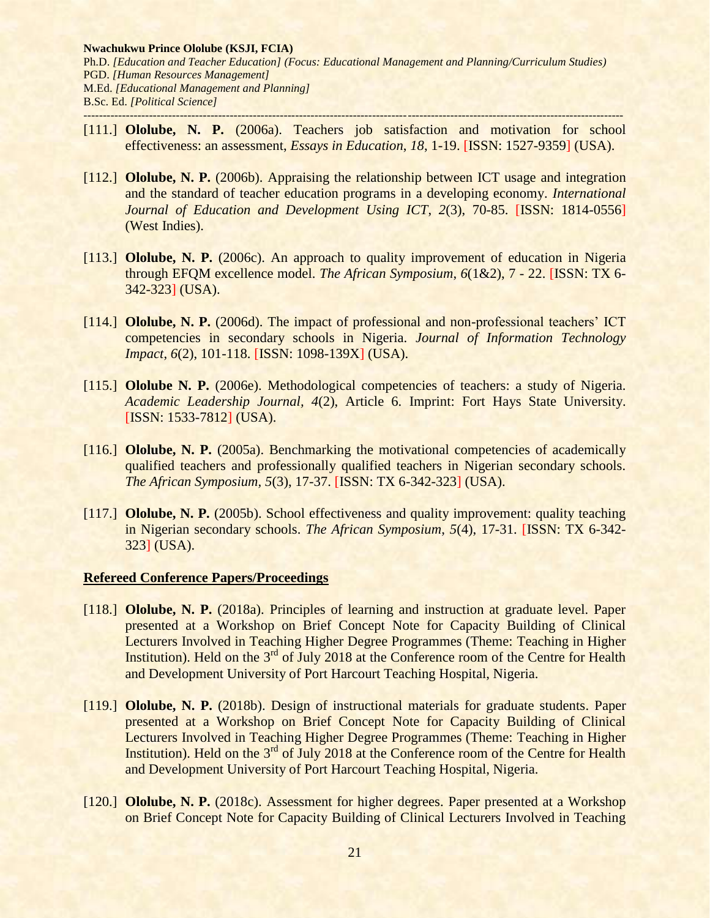- [111.] **Ololube, N. P.** (2006a). Teachers job satisfaction and motivation for school effectiveness: an assessment, *Essays in Education*, *18*, 1-19. [ISSN: 1527-9359] (USA).
- [112.] **Ololube, N. P.** (2006b). Appraising the relationship between ICT usage and integration and the standard of teacher education programs in a developing economy. *International Journal of Education and Development Using ICT*, *2*(3), 70-85. [ISSN: 1814-0556] (West Indies).
- [113.] **Ololube, N. P.** (2006c). An approach to quality improvement of education in Nigeria through EFQM excellence model. *The African Symposium*, *6*(1&2), 7 - 22. [ISSN: TX 6- 342-323] (USA).
- [114.] **Ololube, N. P.** (2006d). The impact of professional and non-professional teachers' ICT competencies in secondary schools in Nigeria. *Journal of Information Technology Impact*, *6*(2), 101-118. [ISSN: 1098-139X] (USA).
- [115.] **Ololube N. P.** (2006e). Methodological competencies of teachers: a study of Nigeria. *Academic Leadership Journal, 4*(2), Article 6. Imprint: Fort Hays State University. [ISSN: 1533-7812] (USA).
- [116.] **Ololube, N. P.** (2005a). Benchmarking the motivational competencies of academically qualified teachers and professionally qualified teachers in Nigerian secondary schools. *The African Symposium, 5*(3), 17-37. [ISSN: TX 6-342-323] (USA).
- [117.] **Ololube, N. P.** (2005b). School effectiveness and quality improvement: quality teaching in Nigerian secondary schools. *The African Symposium*, *5*(4), 17-31. [ISSN: TX 6-342- 323] (USA).

#### **Refereed Conference Papers/Proceedings**

- [118.] **Ololube, N. P.** (2018a). Principles of learning and instruction at graduate level. Paper presented at a Workshop on Brief Concept Note for Capacity Building of Clinical Lecturers Involved in Teaching Higher Degree Programmes (Theme: Teaching in Higher Institution). Held on the 3<sup>rd</sup> of July 2018 at the Conference room of the Centre for Health and Development University of Port Harcourt Teaching Hospital, Nigeria.
- [119.] **Ololube, N. P.** (2018b). Design of instructional materials for graduate students. Paper presented at a Workshop on Brief Concept Note for Capacity Building of Clinical Lecturers Involved in Teaching Higher Degree Programmes (Theme: Teaching in Higher Institution). Held on the 3<sup>rd</sup> of July 2018 at the Conference room of the Centre for Health and Development University of Port Harcourt Teaching Hospital, Nigeria.
- [120.] **Ololube, N. P.** (2018c). Assessment for higher degrees. Paper presented at a Workshop on Brief Concept Note for Capacity Building of Clinical Lecturers Involved in Teaching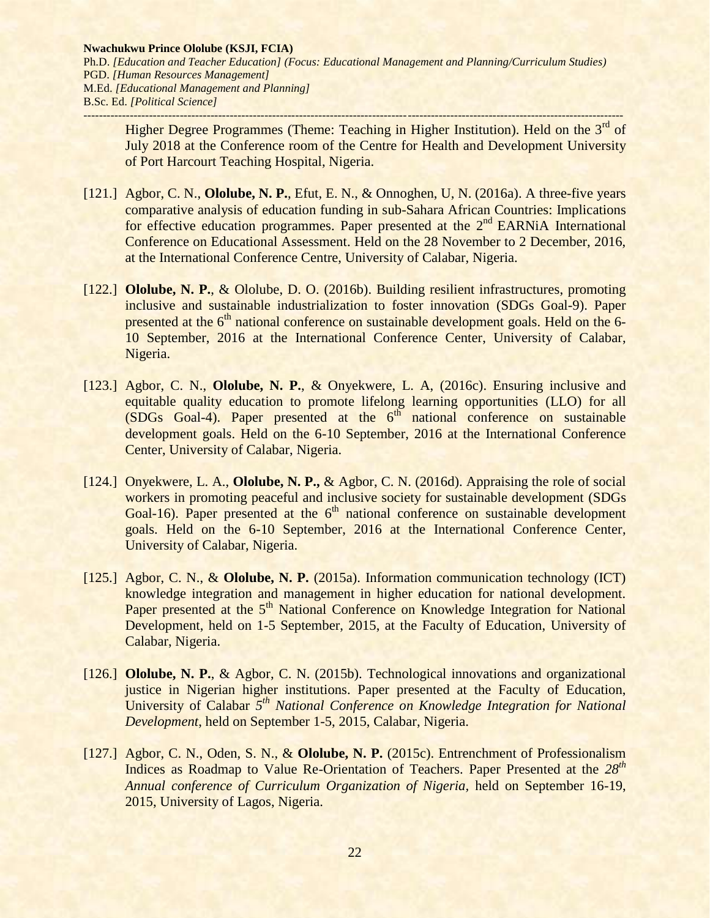**Nwachukwu Prince Ololube (KSJI, FCIA)** Ph.D. *[Education and Teacher Education] (Focus: Educational Management and Planning/Curriculum Studies)* PGD. *[Human Resources Management]* M.Ed. *[Educational Management and Planning]* B.Sc. Ed. *[Political Science]*

*--------------------------------------------------------------------------------------------------------------------------------------------* Higher Degree Programmes (Theme: Teaching in Higher Institution). Held on the 3<sup>rd</sup> of July 2018 at the Conference room of the Centre for Health and Development University of Port Harcourt Teaching Hospital, Nigeria.

- [121.] Agbor, C. N., **Ololube, N. P.**, Efut, E. N., & Onnoghen, U, N. (2016a). A three-five years comparative analysis of education funding in sub-Sahara African Countries: Implications for effective education programmes. Paper presented at the 2<sup>nd</sup> EARNiA International Conference on Educational Assessment. Held on the 28 November to 2 December, 2016, at the International Conference Centre, University of Calabar, Nigeria.
- [122.] **Ololube, N. P.**, & Ololube, D. O. (2016b). Building resilient infrastructures, promoting inclusive and sustainable industrialization to foster innovation (SDGs Goal-9). Paper presented at the  $6<sup>th</sup>$  national conference on sustainable development goals. Held on the  $6-$ 10 September, 2016 at the International Conference Center, University of Calabar, Nigeria.
- [123.] Agbor, C. N., **Ololube, N. P.**, & Onyekwere, L. A, (2016c). Ensuring inclusive and equitable quality education to promote lifelong learning opportunities (LLO) for all  $(SDGs$  Goal-4). Paper presented at the  $6<sup>th</sup>$  national conference on sustainable development goals. Held on the 6-10 September, 2016 at the International Conference Center, University of Calabar, Nigeria.
- [124.] Onyekwere, L. A., **Ololube, N. P.,** & Agbor, C. N. (2016d). Appraising the role of social workers in promoting peaceful and inclusive society for sustainable development (SDGs Goal-16). Paper presented at the  $6<sup>th</sup>$  national conference on sustainable development goals. Held on the 6-10 September, 2016 at the International Conference Center, University of Calabar, Nigeria.
- [125.] Agbor, C. N., & **Ololube, N. P.** (2015a). Information communication technology (ICT) knowledge integration and management in higher education for national development. Paper presented at the 5<sup>th</sup> National Conference on Knowledge Integration for National Development, held on 1-5 September, 2015, at the Faculty of Education, University of Calabar, Nigeria.
- [126.] **Ololube, N. P.**, & Agbor, C. N. (2015b). Technological innovations and organizational justice in Nigerian higher institutions. Paper presented at the Faculty of Education, University of Calabar *5 th National Conference on Knowledge Integration for National Development*, held on September 1-5, 2015, Calabar, Nigeria.
- [127.] Agbor, C. N., Oden, S. N., & **Ololube, N. P.** (2015c). Entrenchment of Professionalism Indices as Roadmap to Value Re-Orientation of Teachers. Paper Presented at the *28th Annual conference of Curriculum Organization of Nigeria,* held on September 16-19, 2015, University of Lagos, Nigeria.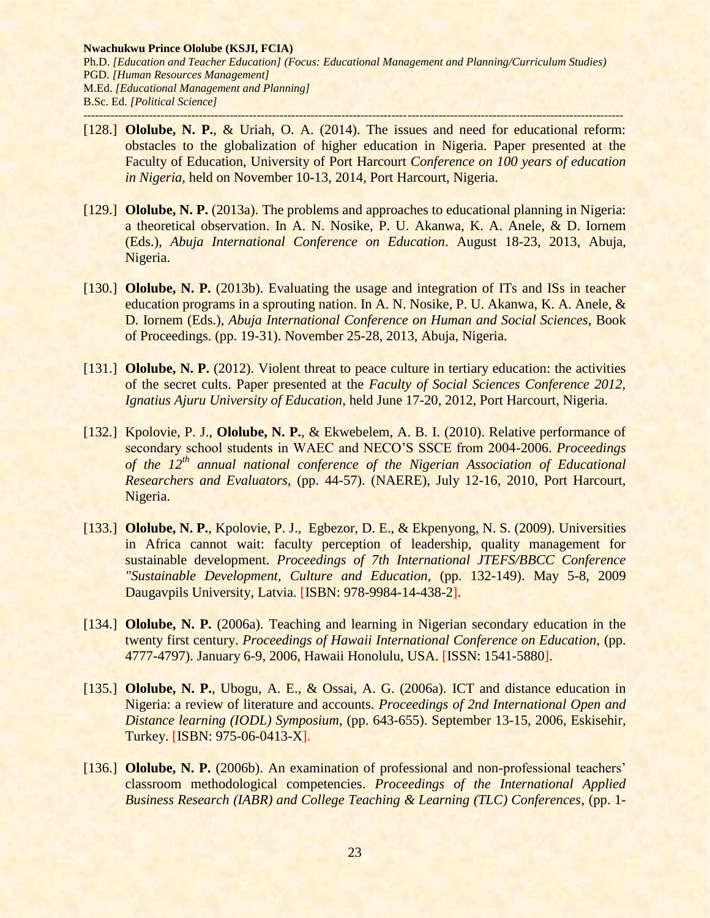- [128.] **Ololube, N. P.**, & Uriah, O. A. (2014). The issues and need for educational reform: obstacles to the globalization of higher education in Nigeria. Paper presented at the Faculty of Education, University of Port Harcourt *Conference on 100 years of education in Nigeria,* held on November 10-13, 2014, Port Harcourt, Nigeria.
- [129.] **Ololube, N. P.** (2013a). The problems and approaches to educational planning in Nigeria: a theoretical observation. In A. N. Nosike, P. U. Akanwa, K. A. Anele, & D. Iornem (Eds.), *Abuja International Conference on Education*. August 18-23, 2013, Abuja, Nigeria.
- [130.] **Ololube, N. P.** (2013b). Evaluating the usage and integration of ITs and ISs in teacher education programs in a sprouting nation. In A. N. Nosike, P. U. Akanwa, K. A. Anele, & D. Iornem (Eds.), *Abuja International Conference on Human and Social Sciences*, Book of Proceedings. (pp. 19-31). November 25-28, 2013, Abuja, Nigeria.
- [131.] **Ololube, N. P.** (2012). Violent threat to peace culture in tertiary education: the activities of the secret cults. Paper presented at the *Faculty of Social Sciences Conference 2012, Ignatius Ajuru University of Education*, held June 17-20, 2012, Port Harcourt, Nigeria.
- [132.] Kpolovie, P. J., **Ololube, N. P.**, & Ekwebelem, A. B. I. (2010). Relative performance of secondary school students in WAEC and NECO'S SSCE from 2004-2006. *Proceedings of the 12th annual national conference of the Nigerian Association of Educational Researchers and Evaluators,* (pp. 44-57). (NAERE), July 12-16, 2010, Port Harcourt, Nigeria.
- [133.] **Ololube, N. P.**, Kpolovie, P. J., Egbezor, D. E., & Ekpenyong, N. S. (2009). Universities in Africa cannot wait: faculty perception of leadership, quality management for sustainable development. *Proceedings of 7th International JTEFS/BBCC Conference "Sustainable Development, Culture and Education,* (pp. 132-149). May 5-8, 2009 Daugavpils University, Latvia. [ISBN: 978-9984-14-438-2].
- [134.] **Ololube, N. P.** (2006a). Teaching and learning in Nigerian secondary education in the twenty first century. *Proceedings of Hawaii International Conference on Education*, (pp. 4777-4797). January 6-9, 2006, Hawaii Honolulu, USA. [ISSN: 1541-5880].
- [135.] **Ololube, N. P.**, Ubogu, A. E., & Ossai, A. G. (2006a). ICT and distance education in Nigeria: a review of literature and accounts. *Proceedings of 2nd International Open and Distance learning (IODL) Symposium*, (pp. 643-655). September 13-15, 2006, Eskisehir, Turkey. [ISBN: 975-06-0413-X].
- [136.] **Ololube, N. P.** (2006b). An examination of professional and non-professional teachers' classroom methodological competencies. *Proceedings of the International Applied Business Research (IABR) and College Teaching & Learning (TLC) Conferences*, (pp. 1-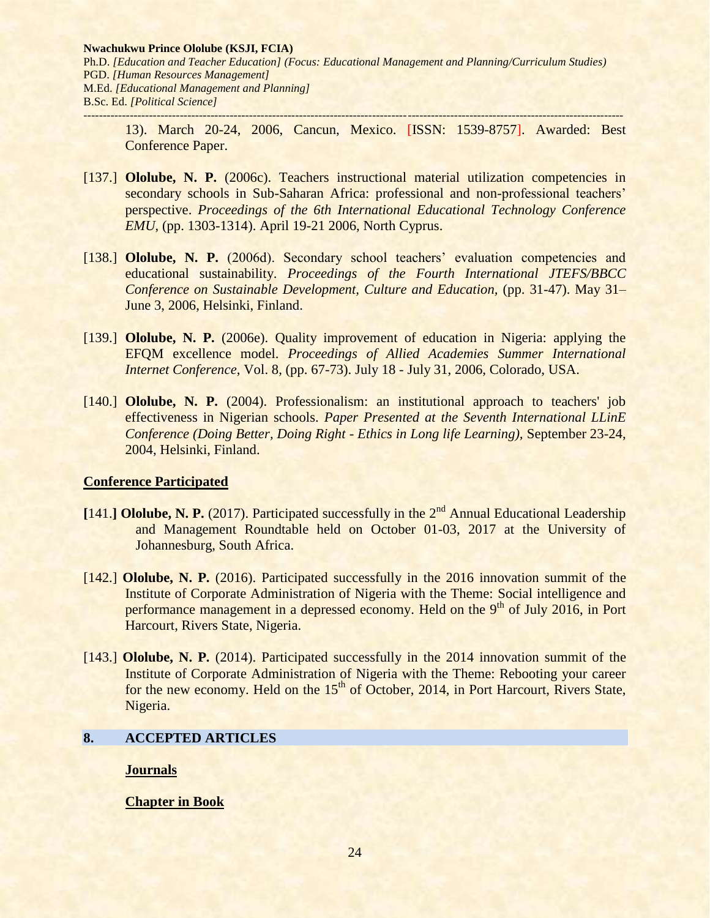13). March 20-24, 2006, Cancun, Mexico. [ISSN: 1539-8757]. Awarded: Best Conference Paper.

- [137.] **Ololube, N. P.** (2006c). Teachers instructional material utilization competencies in secondary schools in Sub-Saharan Africa: professional and non-professional teachers' perspective. *Proceedings of the 6th International Educational Technology Conference EMU*, (pp. 1303-1314). April 19-21 2006, North Cyprus.
- [138.] **Ololube, N. P.** (2006d). Secondary school teachers' evaluation competencies and educational sustainability. *Proceedings of the Fourth International JTEFS/BBCC Conference on Sustainable Development, Culture and Education,* (pp. 31-47). May 31– June 3, 2006, Helsinki, Finland.
- [139.] **Ololube, N. P.** (2006e). Quality improvement of education in Nigeria: applying the EFQM excellence model. *Proceedings of Allied Academies Summer International Internet Conference*, Vol. 8, (pp. 67-73). July 18 - July 31, 2006, Colorado, USA.
- [140.] **Ololube, N. P.** (2004). Professionalism: an institutional approach to teachers' job effectiveness in Nigerian schools. *Paper Presented at the Seventh International LLinE Conference (Doing Better, Doing Right - Ethics in Long life Learning),* September 23-24, 2004, Helsinki, Finland.

## **Conference Participated**

- [141.] Ololube, N. P. (2017). Participated successfully in the 2<sup>nd</sup> Annual Educational Leadership and Management Roundtable held on October 01-03, 2017 at the University of Johannesburg, South Africa.
- [142.] **Ololube, N. P.** (2016). Participated successfully in the 2016 innovation summit of the Institute of Corporate Administration of Nigeria with the Theme: Social intelligence and performance management in a depressed economy. Held on the 9<sup>th</sup> of July 2016, in Port Harcourt, Rivers State, Nigeria.
- [143.] **Ololube, N. P.** (2014). Participated successfully in the 2014 innovation summit of the Institute of Corporate Administration of Nigeria with the Theme: Rebooting your career for the new economy. Held on the  $15<sup>th</sup>$  of October, 2014, in Port Harcourt, Rivers State, Nigeria.

## **8. ACCEPTED ARTICLES**

**Journals**

**Chapter in Book**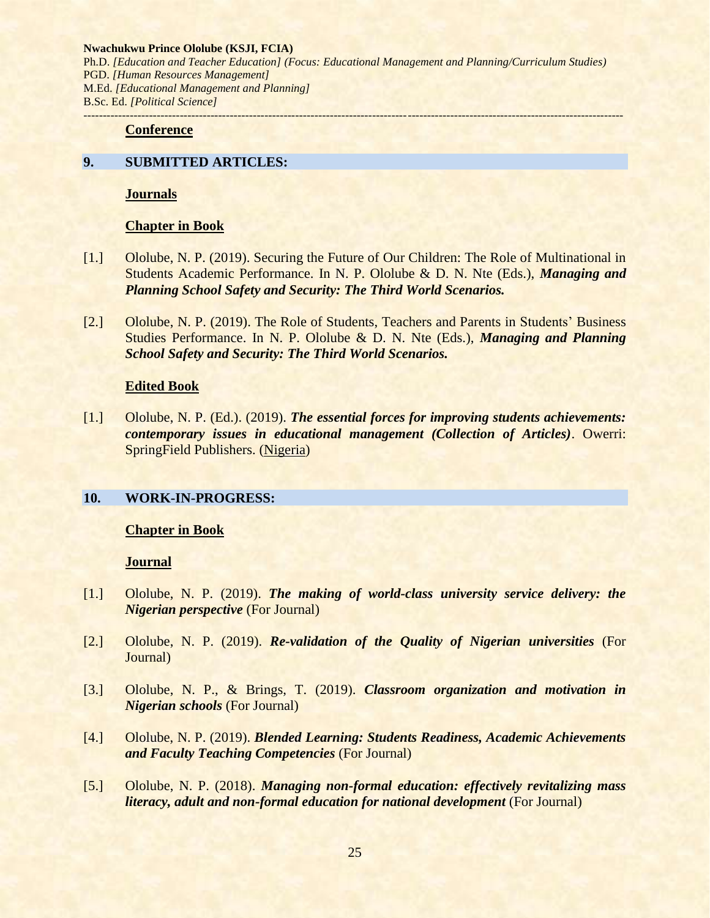#### **Conference**

## **9. SUBMITTED ARTICLES:**

**Journals** 

#### **Chapter in Book**

- [1.] Ololube, N. P. (2019). Securing the Future of Our Children: The Role of Multinational in Students Academic Performance. In N. P. Ololube & D. N. Nte (Eds.), *Managing and Planning School Safety and Security: The Third World Scenarios.*
- [2.] Ololube, N. P. (2019). The Role of Students, Teachers and Parents in Students' Business Studies Performance. In N. P. Ololube & D. N. Nte (Eds.), *Managing and Planning School Safety and Security: The Third World Scenarios.*

#### **Edited Book**

[1.] Ololube, N. P. (Ed.). (2019). *The essential forces for improving students achievements: contemporary issues in educational management (Collection of Articles)*. Owerri: SpringField Publishers. (Nigeria)

## **10. WORK-IN-PROGRESS:**

### **Chapter in Book**

#### **Journal**

- [1.] Ololube, N. P. (2019). *The making of world-class university service delivery: the Nigerian perspective* (For Journal)
- [2.] Ololube, N. P. (2019). *Re-validation of the Quality of Nigerian universities* (For Journal)
- [3.] Ololube, N. P., & Brings, T. (2019). *Classroom organization and motivation in Nigerian schools* (For Journal)
- [4.] Ololube, N. P. (2019). *Blended Learning: Students Readiness, Academic Achievements and Faculty Teaching Competencies* (For Journal)
- [5.] Ololube, N. P. (2018). *Managing non-formal education: effectively revitalizing mass literacy, adult and non-formal education for national development* (For Journal)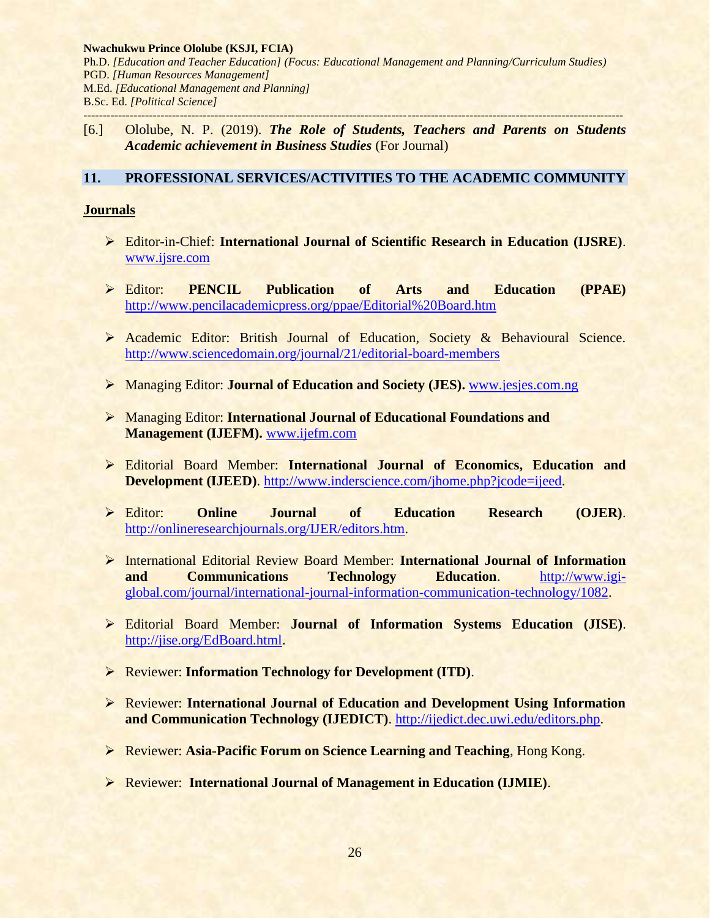[6.] Ololube, N. P. (2019). *The Role of Students, Teachers and Parents on Students Academic achievement in Business Studies* (For Journal)

# **11. PROFESSIONAL SERVICES/ACTIVITIES TO THE ACADEMIC COMMUNITY**

# **Journals**

- Editor-in-Chief: **International Journal of Scientific Research in Education (IJSRE)**. [www.ijsre.com](http://www.ijsre.com/)
- Editor: **PENCIL Publication of Arts and Education (PPAE)** <http://www.pencilacademicpress.org/ppae/Editorial%20Board.htm>
- Academic Editor: British Journal of Education, Society & Behavioural Science. <http://www.sciencedomain.org/journal/21/editorial-board-members>
- Managing Editor: **Journal of Education and Society (JES).** [www.jesjes.com.](http://www.jesjes.com/)ng
- Managing Editor: **International Journal of Educational Foundations and Management (IJEFM).** [www.ijefm.com](http://www.ijefm.com/)
- Editorial Board Member: **International Journal of Economics, Education and Development (IJEED).** [http://www.inderscience.com/jhome.php?jcode=ijeed.](http://www.inderscience.com/jhome.php?jcode=ijeed)
- Editor: **Online Journal of Education Research (OJER)**. [http://onlineresearchjournals.org/IJER/editors.htm.](http://onlineresearchjournals.org/IJER/editors.htm)
- International Editorial Review Board Member: **International Journal of Information and Communications Technology Education**. [http://www.igi](http://www.igi-global.com/journal/international-journal-information-communication-technology/1082)[global.com/journal/international-journal-information-communication-technology/1082.](http://www.igi-global.com/journal/international-journal-information-communication-technology/1082)
- Editorial Board Member: **Journal of Information Systems Education (JISE)**. [http://jise.org/EdBoard.html.](http://jise.org/EdBoard.html)
- Reviewer: **Information Technology for Development (ITD)**.
- Reviewer: **International Journal of Education and Development Using Information and Communication Technology (IJEDICT)**. [http://ijedict.dec.uwi.edu/editors.php.](http://ijedict.dec.uwi.edu/editors.php)
- Reviewer: **Asia-Pacific Forum on Science Learning and Teaching**, Hong Kong.
- Reviewer: **International Journal of Management in Education (IJMIE)**.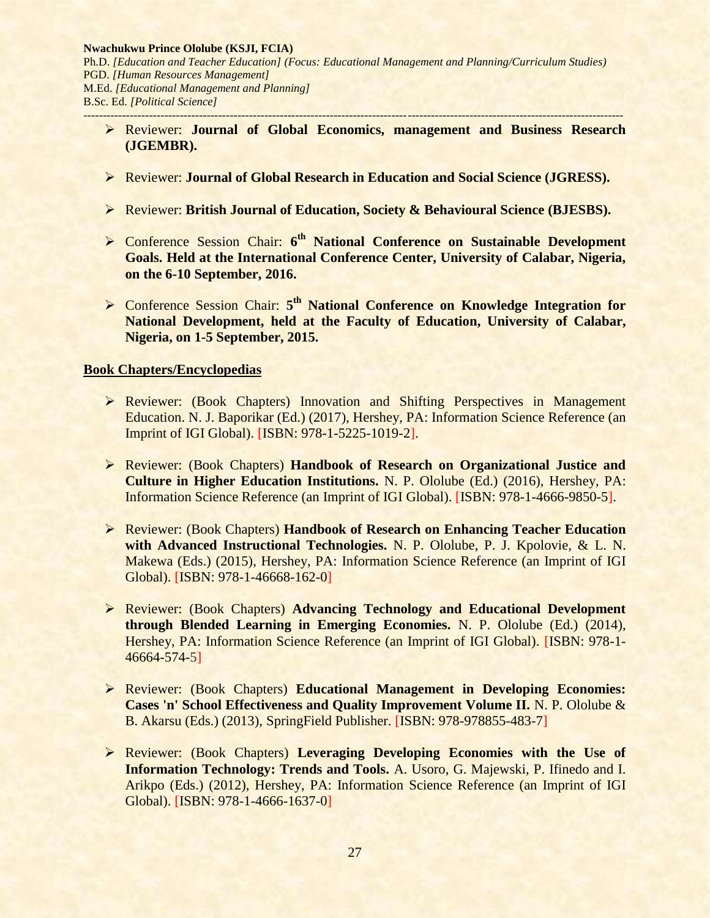- Reviewer: **Journal of Global Economics, management and Business Research (JGEMBR).**
- Reviewer: **Journal of Global Research in Education and Social Science (JGRESS).**
- Reviewer: **British Journal of Education, Society & Behavioural Science (BJESBS).**
- Conference Session Chair: **6 th National Conference on Sustainable Development Goals. Held at the International Conference Center, University of Calabar, Nigeria, on the 6-10 September, 2016.**
- **Conference Session Chair: 5<sup>th</sup> National Conference on Knowledge Integration for National Development, held at the Faculty of Education, University of Calabar, Nigeria, on 1-5 September, 2015.**

## **Book Chapters/Encyclopedias**

- Reviewer: (Book Chapters) Innovation and Shifting Perspectives in Management Education. N. J. Baporikar (Ed.) (2017), Hershey, PA: Information Science Reference (an Imprint of IGI Global). [ISBN: 978-1-5225-1019-2].
- Reviewer: (Book Chapters) **Handbook of Research on Organizational Justice and Culture in Higher Education Institutions.** N. P. Ololube (Ed.) (2016), Hershey, PA: Information Science Reference (an Imprint of IGI Global). [ISBN: 978-1-4666-9850-5].
- Reviewer: (Book Chapters) **Handbook of Research on Enhancing Teacher Education with Advanced Instructional Technologies.** N. P. Ololube, P. J. Kpolovie, & L. N. Makewa (Eds.) (2015), Hershey, PA: Information Science Reference (an Imprint of IGI Global). [ISBN: 978-1-46668-162-0]
- Reviewer: (Book Chapters) **Advancing Technology and Educational Development through Blended Learning in Emerging Economies.** N. P. Ololube (Ed.) (2014), Hershey, PA: Information Science Reference (an Imprint of IGI Global). [ISBN: 978-1- 46664-574-5]
- Reviewer: (Book Chapters) **Educational Management in Developing Economies: Cases 'n' School Effectiveness and Quality Improvement Volume II.** N. P. Ololube & B. Akarsu (Eds.) (2013), SpringField Publisher. [ISBN: 978-978855-483-7]
- Reviewer: (Book Chapters) **Leveraging Developing Economies with the Use of Information Technology: Trends and Tools.** A. Usoro, G. Majewski, P. Ifinedo and I. Arikpo (Eds.) (2012), Hershey, PA: Information Science Reference (an Imprint of IGI Global). [ISBN: 978-1-4666-1637-0]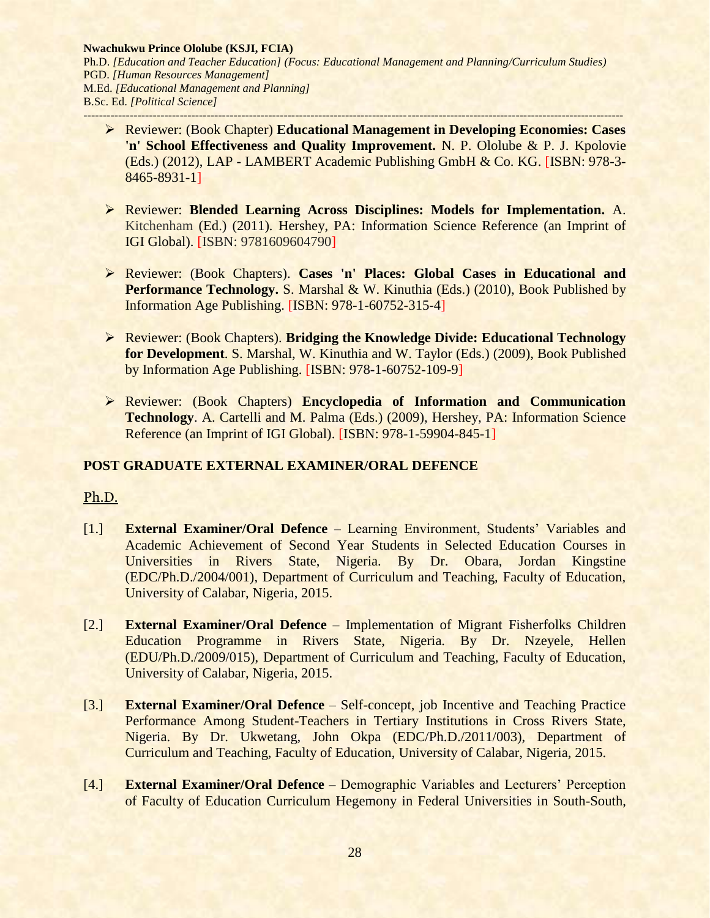- Reviewer: (Book Chapter) **Educational Management in Developing Economies: Cases 'n' School Effectiveness and Quality Improvement.** N. P. Ololube & P. J. Kpolovie (Eds.) (2012), LAP - LAMBERT Academic Publishing GmbH & Co. KG. [ISBN: 978-3- 8465-8931-1]
- Reviewer: **Blended Learning Across Disciplines: Models for Implementation.** A. Kitchenham (Ed.) (2011)*.* Hershey, PA: Information Science Reference (an Imprint of IGI Global). [ISBN: 9781609604790]
- Reviewer: (Book Chapters). **Cases 'n' Places: Global Cases in Educational and Performance Technology.** S. Marshal & W. Kinuthia (Eds.) (2010), Book Published by Information Age Publishing. [ISBN: 978-1-60752-315-4]
- Reviewer: (Book Chapters). **Bridging the Knowledge Divide: Educational Technology for Development**. S. Marshal, W. Kinuthia and W. Taylor (Eds.) (2009), Book Published by Information Age Publishing. [ISBN: 978-1-60752-109-9]
- Reviewer: (Book Chapters) **Encyclopedia of Information and Communication Technology**. A. Cartelli and M. Palma (Eds.) (2009), Hershey, PA: Information Science Reference (an Imprint of IGI Global). [ISBN: 978-1-59904-845-1]

# **POST GRADUATE EXTERNAL EXAMINER/ORAL DEFENCE**

# Ph.D.

- [1.] **External Examiner/Oral Defence** Learning Environment, Students' Variables and Academic Achievement of Second Year Students in Selected Education Courses in Universities in Rivers State, Nigeria. By Dr. Obara, Jordan Kingstine (EDC/Ph.D./2004/001), Department of Curriculum and Teaching, Faculty of Education, University of Calabar, Nigeria, 2015.
- [2.] **External Examiner/Oral Defence** Implementation of Migrant Fisherfolks Children Education Programme in Rivers State, Nigeria. By Dr. Nzeyele, Hellen (EDU/Ph.D./2009/015), Department of Curriculum and Teaching, Faculty of Education, University of Calabar, Nigeria, 2015.
- [3.] **External Examiner/Oral Defence** Self-concept, job Incentive and Teaching Practice Performance Among Student-Teachers in Tertiary Institutions in Cross Rivers State, Nigeria. By Dr. Ukwetang, John Okpa (EDC/Ph.D./2011/003), Department of Curriculum and Teaching, Faculty of Education, University of Calabar, Nigeria, 2015.
- [4.] **External Examiner/Oral Defence** Demographic Variables and Lecturers' Perception of Faculty of Education Curriculum Hegemony in Federal Universities in South-South,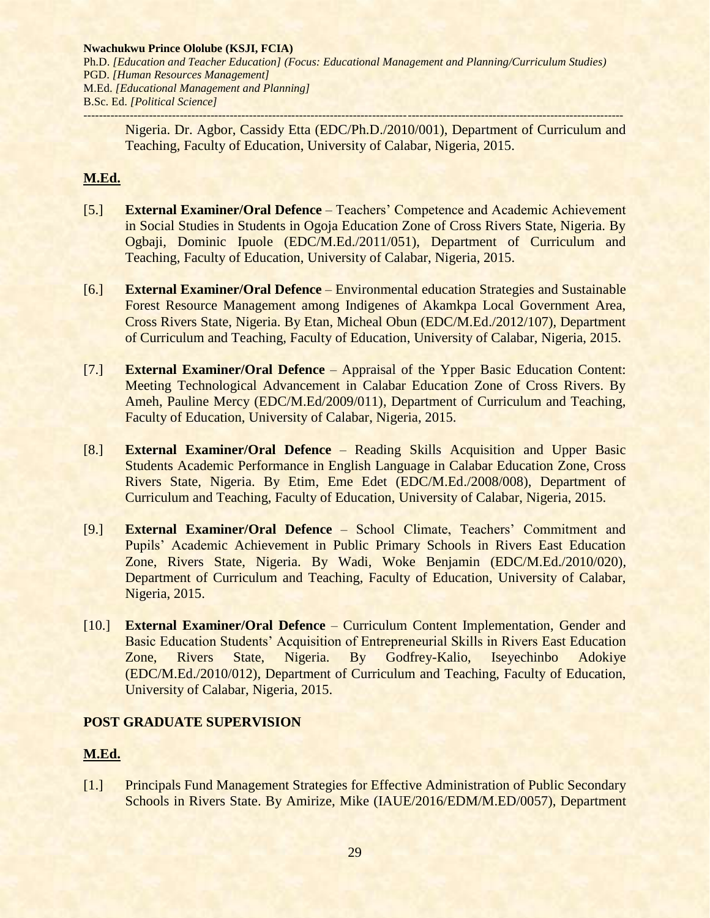Nigeria. Dr. Agbor, Cassidy Etta (EDC/Ph.D./2010/001), Department of Curriculum and Teaching, Faculty of Education, University of Calabar, Nigeria, 2015.

# **M.Ed.**

- [5.] **External Examiner/Oral Defence** Teachers' Competence and Academic Achievement in Social Studies in Students in Ogoja Education Zone of Cross Rivers State, Nigeria. By Ogbaji, Dominic Ipuole (EDC/M.Ed./2011/051), Department of Curriculum and Teaching, Faculty of Education, University of Calabar, Nigeria, 2015.
- [6.] **External Examiner/Oral Defence** Environmental education Strategies and Sustainable Forest Resource Management among Indigenes of Akamkpa Local Government Area, Cross Rivers State, Nigeria. By Etan, Micheal Obun (EDC/M.Ed./2012/107), Department of Curriculum and Teaching, Faculty of Education, University of Calabar, Nigeria, 2015.
- [7.] **External Examiner/Oral Defence** Appraisal of the Ypper Basic Education Content: Meeting Technological Advancement in Calabar Education Zone of Cross Rivers. By Ameh, Pauline Mercy (EDC/M.Ed/2009/011), Department of Curriculum and Teaching, Faculty of Education, University of Calabar, Nigeria, 2015.
- [8.] **External Examiner/Oral Defence** Reading Skills Acquisition and Upper Basic Students Academic Performance in English Language in Calabar Education Zone, Cross Rivers State, Nigeria. By Etim, Eme Edet (EDC/M.Ed./2008/008), Department of Curriculum and Teaching, Faculty of Education, University of Calabar, Nigeria, 2015.
- [9.] **External Examiner/Oral Defence** School Climate, Teachers' Commitment and Pupils' Academic Achievement in Public Primary Schools in Rivers East Education Zone, Rivers State, Nigeria. By Wadi, Woke Benjamin (EDC/M.Ed./2010/020), Department of Curriculum and Teaching, Faculty of Education, University of Calabar, Nigeria, 2015.
- [10.] **External Examiner/Oral Defence** Curriculum Content Implementation, Gender and Basic Education Students' Acquisition of Entrepreneurial Skills in Rivers East Education Zone, Rivers State, Nigeria. By Godfrey-Kalio, Iseyechinbo Adokiye (EDC/M.Ed./2010/012), Department of Curriculum and Teaching, Faculty of Education, University of Calabar, Nigeria, 2015.

# **POST GRADUATE SUPERVISION**

# **M.Ed.**

[1.] Principals Fund Management Strategies for Effective Administration of Public Secondary Schools in Rivers State. By Amirize, Mike (IAUE/2016/EDM/M.ED/0057), Department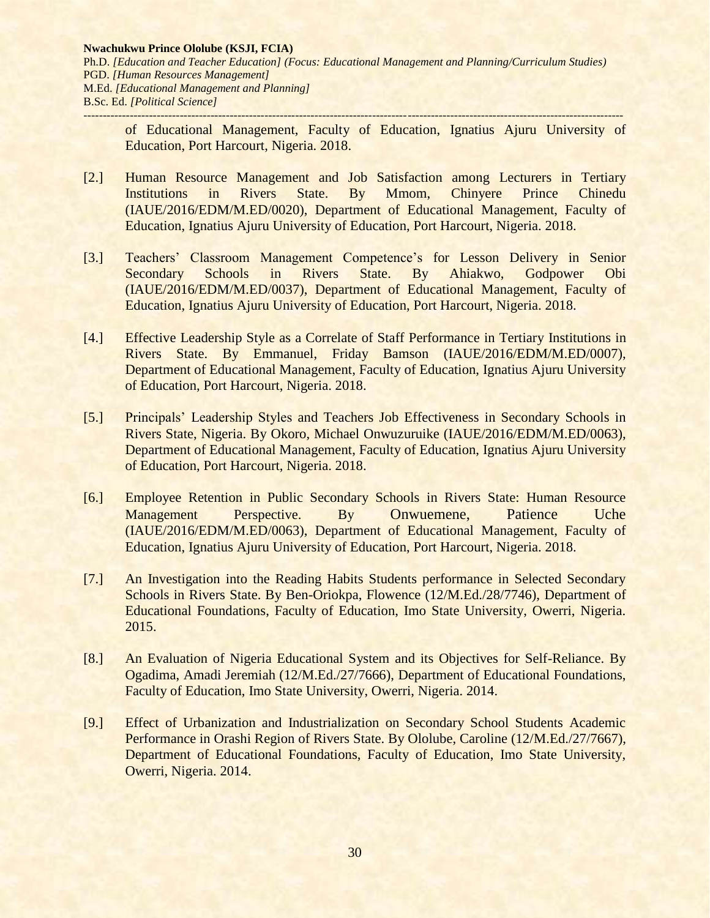of Educational Management, Faculty of Education, Ignatius Ajuru University of Education, Port Harcourt, Nigeria. 2018.

- [2.] Human Resource Management and Job Satisfaction among Lecturers in Tertiary Institutions in Rivers State. By Mmom, Chinyere Prince Chinedu (IAUE/2016/EDM/M.ED/0020), Department of Educational Management, Faculty of Education, Ignatius Ajuru University of Education, Port Harcourt, Nigeria. 2018.
- [3.] Teachers' Classroom Management Competence's for Lesson Delivery in Senior Secondary Schools in Rivers State. By Ahiakwo, Godpower Obi (IAUE/2016/EDM/M.ED/0037), Department of Educational Management, Faculty of Education, Ignatius Ajuru University of Education, Port Harcourt, Nigeria. 2018.
- [4.] Effective Leadership Style as a Correlate of Staff Performance in Tertiary Institutions in Rivers State. By Emmanuel, Friday Bamson (IAUE/2016/EDM/M.ED/0007), Department of Educational Management, Faculty of Education, Ignatius Ajuru University of Education, Port Harcourt, Nigeria. 2018.
- [5.] Principals' Leadership Styles and Teachers Job Effectiveness in Secondary Schools in Rivers State, Nigeria. By Okoro, Michael Onwuzuruike (IAUE/2016/EDM/M.ED/0063), Department of Educational Management, Faculty of Education, Ignatius Ajuru University of Education, Port Harcourt, Nigeria. 2018.
- [6.] Employee Retention in Public Secondary Schools in Rivers State: Human Resource Management Perspective. By Onwuemene, Patience Uche (IAUE/2016/EDM/M.ED/0063), Department of Educational Management, Faculty of Education, Ignatius Ajuru University of Education, Port Harcourt, Nigeria. 2018.
- [7.] An Investigation into the Reading Habits Students performance in Selected Secondary Schools in Rivers State. By Ben-Oriokpa, Flowence (12/M.Ed./28/7746), Department of Educational Foundations, Faculty of Education, Imo State University, Owerri, Nigeria. 2015.
- [8.] An Evaluation of Nigeria Educational System and its Objectives for Self-Reliance. By Ogadima, Amadi Jeremiah (12/M.Ed./27/7666), Department of Educational Foundations, Faculty of Education, Imo State University, Owerri, Nigeria. 2014.
- [9.] Effect of Urbanization and Industrialization on Secondary School Students Academic Performance in Orashi Region of Rivers State. By Ololube, Caroline (12/M.Ed./27/7667), Department of Educational Foundations, Faculty of Education, Imo State University, Owerri, Nigeria. 2014.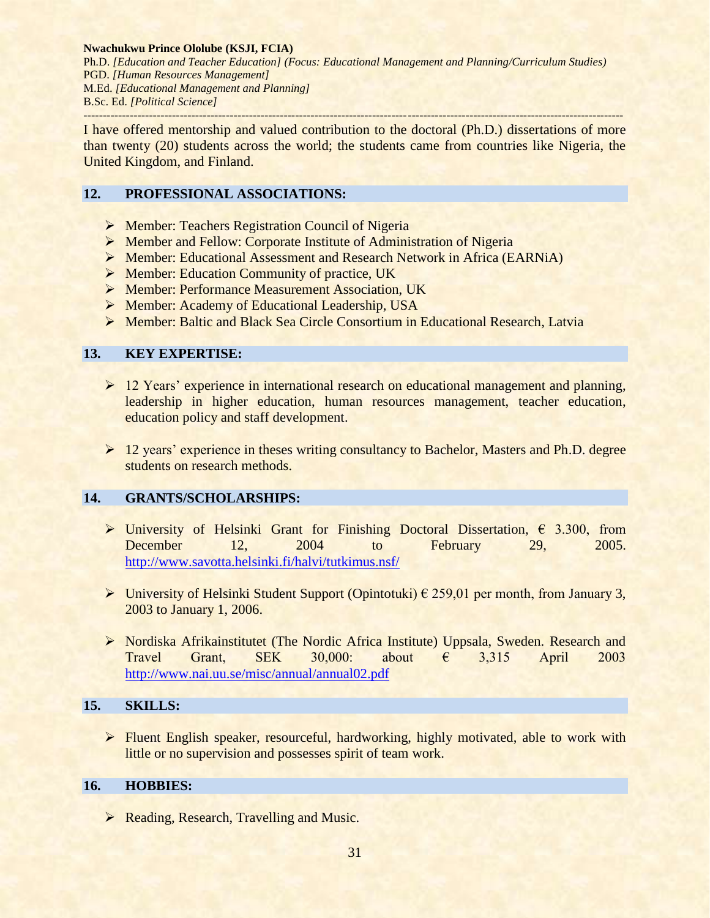**Nwachukwu Prince Ololube (KSJI, FCIA)**

Ph.D. *[Education and Teacher Education] (Focus: Educational Management and Planning/Curriculum Studies)* PGD. *[Human Resources Management]* M.Ed. *[Educational Management and Planning]* B.Sc. Ed. *[Political Science] --------------------------------------------------------------------------------------------------------------------------------------------*

I have offered mentorship and valued contribution to the doctoral (Ph.D.) dissertations of more than twenty (20) students across the world; the students came from countries like Nigeria, the United Kingdom, and Finland.

# **12. PROFESSIONAL ASSOCIATIONS:**

- **EXECUTE:** Teachers Registration Council of Nigeria
- Member and Fellow: Corporate Institute of Administration of Nigeria
- Member: Educational Assessment and Research Network in Africa (EARNiA)
- $\triangleright$  Member: Education Community of practice, UK
- Member: Performance Measurement Association, UK
- ▶ Member: Academy of Educational Leadership, USA
- Member: [Baltic and Black Sea Circle Consortium in Educational Research,](http://www.ise-lv.eu/index.php?show=1) Latvia

# **13. KEY EXPERTISE:**

- ▶ 12 Years' experience in international research on educational management and planning, leadership in higher education, human resources management, teacher education, education policy and staff development.
- $\geq 12$  years' experience in theses writing consultancy to Bachelor, Masters and Ph.D. degree students on research methods.

# **14. GRANTS/SCHOLARSHIPS:**

- > University of Helsinki Grant for Finishing Doctoral Dissertation,  $\epsilon$  3.300, from December 12, 2004 to February 29, 2005. <http://www.savotta.helsinki.fi/halvi/tutkimus.nsf/>
- $\triangleright$  University of Helsinki Student Support (Opintotuki)  $\epsilon$  259,01 per month, from January 3, 2003 to January 1, 2006.
- Nordiska Afrikainstitutet (The Nordic Africa Institute) Uppsala, Sweden. Research and Travel Grant, SEK 30,000: about  $\epsilon$  3,315 April 2003 <http://www.nai.uu.se/misc/annual/annual02.pdf>

# **15. SKILLS:**

**Fluent English speaker, resourceful, hardworking, highly motivated, able to work with** little or no supervision and possesses spirit of team work.

# **16. HOBBIES:**

▶ Reading, Research, Travelling and Music.